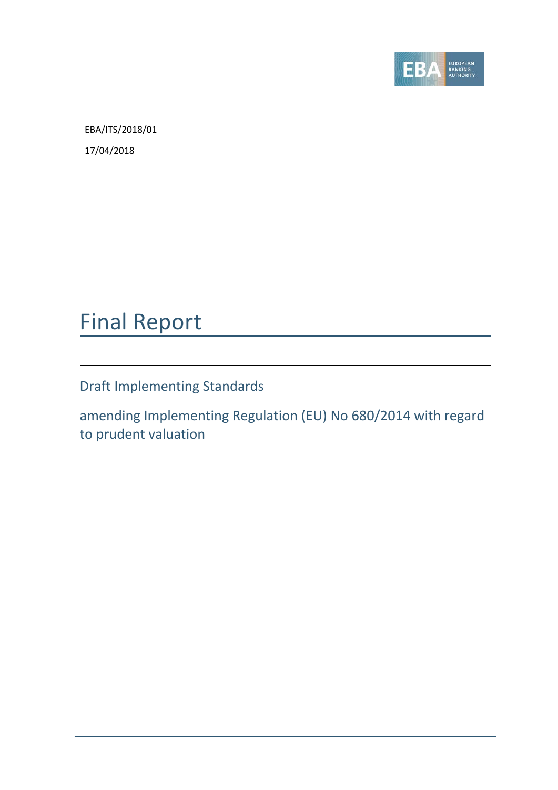

EBA/ITS/2018/01

17/04/2018

# Final Report

Draft Implementing Standards

amending Implementing Regulation (EU) No 680/2014 with regard to prudent valuation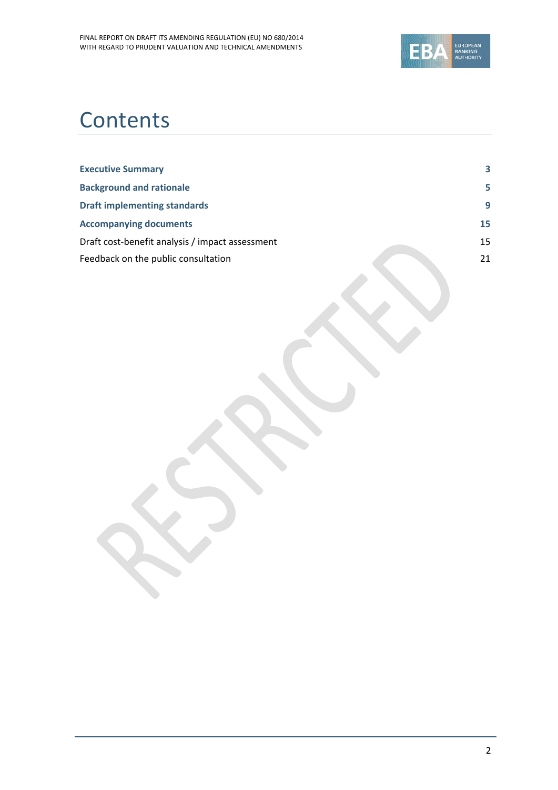

# **Contents**

| <b>Executive Summary</b>                        | 3  |
|-------------------------------------------------|----|
| <b>Background and rationale</b>                 | 5  |
| <b>Draft implementing standards</b>             | 9  |
| <b>Accompanying documents</b>                   | 15 |
| Draft cost-benefit analysis / impact assessment | 15 |
| Feedback on the public consultation             | 21 |
|                                                 |    |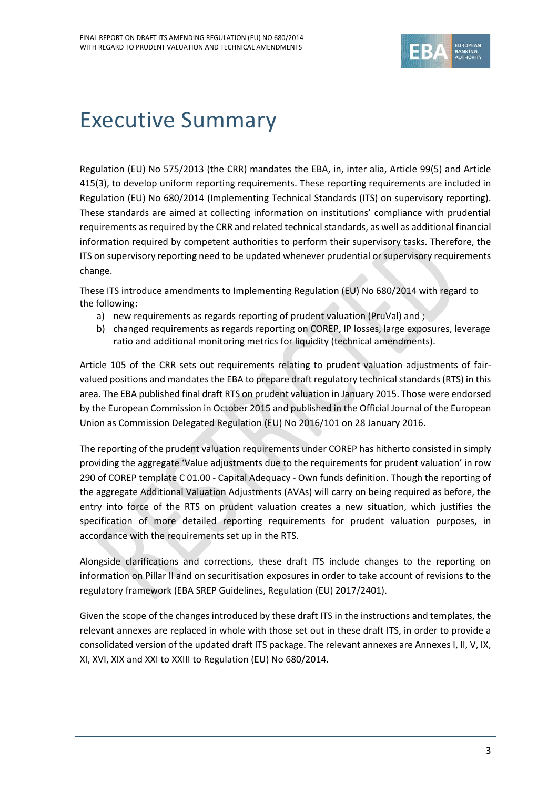

# <span id="page-2-0"></span>Executive Summary

Regulation (EU) No 575/2013 (the CRR) mandates the EBA, in, inter alia, Article 99(5) and Article 415(3), to develop uniform reporting requirements. These reporting requirements are included in Regulation (EU) No 680/2014 (Implementing Technical Standards (ITS) on supervisory reporting). These standards are aimed at collecting information on institutions' compliance with prudential requirements as required by the CRR and related technical standards, as well as additional financial information required by competent authorities to perform their supervisory tasks. Therefore, the ITS on supervisory reporting need to be updated whenever prudential or supervisory requirements change.

These ITS introduce amendments to Implementing Regulation (EU) No 680/2014 with regard to the following:

- a) new requirements as regards reporting of prudent valuation (PruVal) and ;
- b) changed requirements as regards reporting on COREP, IP losses, large exposures, leverage ratio and additional monitoring metrics for liquidity (technical amendments).

Article 105 of the CRR sets out requirements relating to prudent valuation adjustments of fairvalued positions and mandates the EBA to prepare draft regulatory technical standards (RTS) in this area. The EBA published final draft RTS on prudent valuation in January 2015. Those were endorsed by the European Commission in October 2015 and published in the Official Journal of the European Union as Commission Delegated Regulation (EU) No 2016/101 on 28 January 2016.

The reporting of the prudent valuation requirements under COREP has hitherto consisted in simply providing the aggregate 'Value adjustments due to the requirements for prudent valuation' in row 290 of COREP template C 01.00 - Capital Adequacy - Own funds definition. Though the reporting of the aggregate Additional Valuation Adjustments (AVAs) will carry on being required as before, the entry into force of the RTS on prudent valuation creates a new situation, which justifies the specification of more detailed reporting requirements for prudent valuation purposes, in accordance with the requirements set up in the RTS.

Alongside clarifications and corrections, these draft ITS include changes to the reporting on information on Pillar II and on securitisation exposures in order to take account of revisions to the regulatory framework (EBA SREP Guidelines, Regulation (EU) 2017/2401).

Given the scope of the changes introduced by these draft ITS in the instructions and templates, the relevant annexes are replaced in whole with those set out in these draft ITS, in order to provide a consolidated version of the updated draft ITS package. The relevant annexes are Annexes I, II, V, IX, XI, XVI, XIX and XXI to XXIII to Regulation (EU) No 680/2014.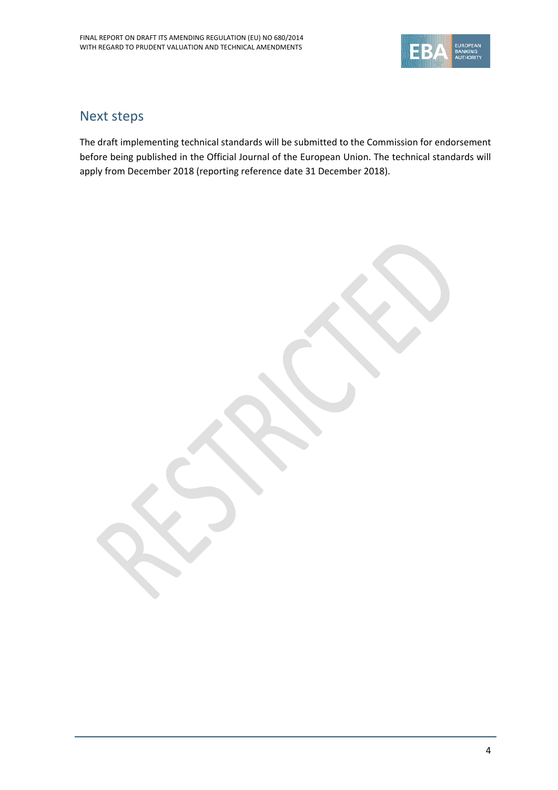

## Next steps

The draft implementing technical standards will be submitted to the Commission for endorsement before being published in the Official Journal of the European Union. The technical standards will apply from December 2018 (reporting reference date 31 December 2018).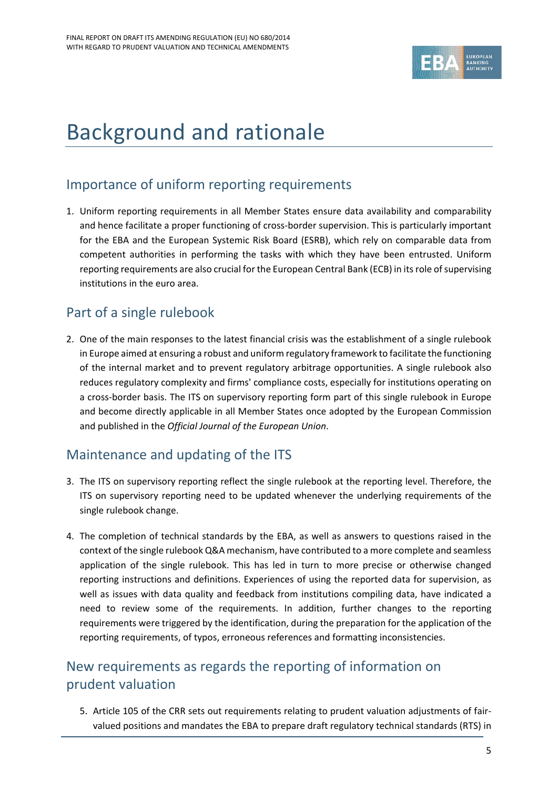

# <span id="page-4-0"></span>Background and rationale

# Importance of uniform reporting requirements

1. Uniform reporting requirements in all Member States ensure data availability and comparability and hence facilitate a proper functioning of cross-border supervision. This is particularly important for the EBA and the European Systemic Risk Board (ESRB), which rely on comparable data from competent authorities in performing the tasks with which they have been entrusted. Uniform reporting requirements are also crucial for the European Central Bank (ECB) in its role of supervising institutions in the euro area.

# Part of a single rulebook

2. One of the main responses to the latest financial crisis was the establishment of a single rulebook in Europe aimed at ensuring a robust and uniform regulatory framework to facilitate the functioning of the internal market and to prevent regulatory arbitrage opportunities. A single rulebook also reduces regulatory complexity and firms' compliance costs, especially for institutions operating on a cross-border basis. The ITS on supervisory reporting form part of this single rulebook in Europe and become directly applicable in all Member States once adopted by the European Commission and published in the *Official Journal of the European Union*.

# Maintenance and updating of the ITS

- 3. The ITS on supervisory reporting reflect the single rulebook at the reporting level. Therefore, the ITS on supervisory reporting need to be updated whenever the underlying requirements of the single rulebook change.
- 4. The completion of technical standards by the EBA, as well as answers to questions raised in the context of the single rulebook Q&A mechanism, have contributed to a more complete and seamless application of the single rulebook. This has led in turn to more precise or otherwise changed reporting instructions and definitions. Experiences of using the reported data for supervision, as well as issues with data quality and feedback from institutions compiling data, have indicated a need to review some of the requirements. In addition, further changes to the reporting requirements were triggered by the identification, during the preparation for the application of the reporting requirements, of typos, erroneous references and formatting inconsistencies.

# New requirements as regards the reporting of information on prudent valuation

5. Article 105 of the CRR sets out requirements relating to prudent valuation adjustments of fairvalued positions and mandates the EBA to prepare draft regulatory technical standards (RTS) in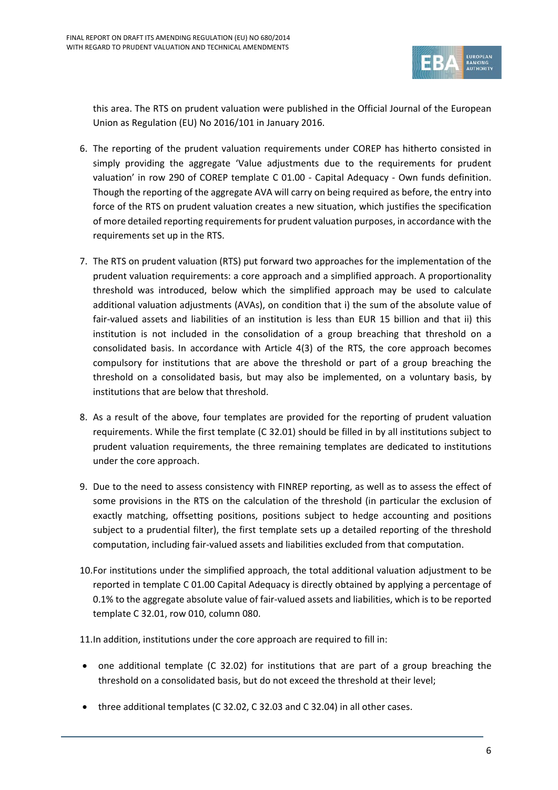

this area. The RTS on prudent valuation were published in the Official Journal of the European Union as Regulation (EU) No 2016/101 in January 2016.

- 6. The reporting of the prudent valuation requirements under COREP has hitherto consisted in simply providing the aggregate 'Value adjustments due to the requirements for prudent valuation' in row 290 of COREP template C 01.00 - Capital Adequacy - Own funds definition. Though the reporting of the aggregate AVA will carry on being required as before, the entry into force of the RTS on prudent valuation creates a new situation, which justifies the specification of more detailed reporting requirements for prudent valuation purposes, in accordance with the requirements set up in the RTS.
- 7. The RTS on prudent valuation (RTS) put forward two approaches for the implementation of the prudent valuation requirements: a core approach and a simplified approach. A proportionality threshold was introduced, below which the simplified approach may be used to calculate additional valuation adjustments (AVAs), on condition that i) the sum of the absolute value of fair-valued assets and liabilities of an institution is less than EUR 15 billion and that ii) this institution is not included in the consolidation of a group breaching that threshold on a consolidated basis. In accordance with Article 4(3) of the RTS, the core approach becomes compulsory for institutions that are above the threshold or part of a group breaching the threshold on a consolidated basis, but may also be implemented, on a voluntary basis, by institutions that are below that threshold.
- 8. As a result of the above, four templates are provided for the reporting of prudent valuation requirements. While the first template (C 32.01) should be filled in by all institutions subject to prudent valuation requirements, the three remaining templates are dedicated to institutions under the core approach.
- 9. Due to the need to assess consistency with FINREP reporting, as well as to assess the effect of some provisions in the RTS on the calculation of the threshold (in particular the exclusion of exactly matching, offsetting positions, positions subject to hedge accounting and positions subject to a prudential filter), the first template sets up a detailed reporting of the threshold computation, including fair-valued assets and liabilities excluded from that computation.
- 10.For institutions under the simplified approach, the total additional valuation adjustment to be reported in template C 01.00 Capital Adequacy is directly obtained by applying a percentage of 0.1% to the aggregate absolute value of fair-valued assets and liabilities, which is to be reported template C 32.01, row 010, column 080.
- 11.In addition, institutions under the core approach are required to fill in:
- one additional template (C 32.02) for institutions that are part of a group breaching the threshold on a consolidated basis, but do not exceed the threshold at their level;
- three additional templates (C 32.02, C 32.03 and C 32.04) in all other cases.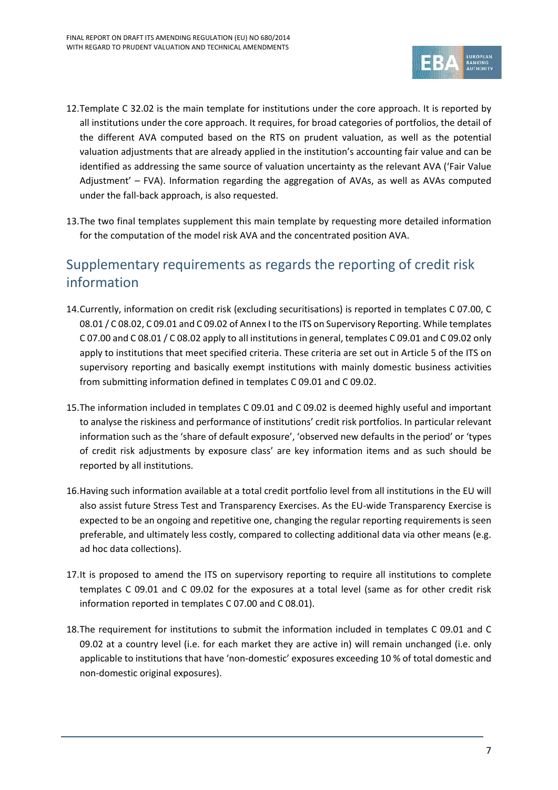

- 12.Template C 32.02 is the main template for institutions under the core approach. It is reported by all institutions under the core approach. It requires, for broad categories of portfolios, the detail of the different AVA computed based on the RTS on prudent valuation, as well as the potential valuation adjustments that are already applied in the institution's accounting fair value and can be identified as addressing the same source of valuation uncertainty as the relevant AVA ('Fair Value Adjustment' – FVA). Information regarding the aggregation of AVAs, as well as AVAs computed under the fall-back approach, is also requested.
- 13.The two final templates supplement this main template by requesting more detailed information for the computation of the model risk AVA and the concentrated position AVA.

# Supplementary requirements as regards the reporting of credit risk information

- 14.Currently, information on credit risk (excluding securitisations) is reported in templates C 07.00, C 08.01 / C 08.02, C 09.01 and C 09.02 of Annex I to the ITS on Supervisory Reporting. While templates C 07.00 and C 08.01 / C 08.02 apply to all institutions in general, templates C 09.01 and C 09.02 only apply to institutions that meet specified criteria. These criteria are set out in Article 5 of the ITS on supervisory reporting and basically exempt institutions with mainly domestic business activities from submitting information defined in templates C 09.01 and C 09.02.
- 15.The information included in templates C 09.01 and C 09.02 is deemed highly useful and important to analyse the riskiness and performance of institutions' credit risk portfolios. In particular relevant information such as the 'share of default exposure', 'observed new defaults in the period' or 'types of credit risk adjustments by exposure class' are key information items and as such should be reported by all institutions.
- 16.Having such information available at a total credit portfolio level from all institutions in the EU will also assist future Stress Test and Transparency Exercises. As the EU-wide Transparency Exercise is expected to be an ongoing and repetitive one, changing the regular reporting requirements is seen preferable, and ultimately less costly, compared to collecting additional data via other means (e.g. ad hoc data collections).
- 17.It is proposed to amend the ITS on supervisory reporting to require all institutions to complete templates C 09.01 and C 09.02 for the exposures at a total level (same as for other credit risk information reported in templates C 07.00 and C 08.01).
- 18.The requirement for institutions to submit the information included in templates C 09.01 and C 09.02 at a country level (i.e. for each market they are active in) will remain unchanged (i.e. only applicable to institutions that have 'non-domestic' exposures exceeding 10 % of total domestic and non-domestic original exposures).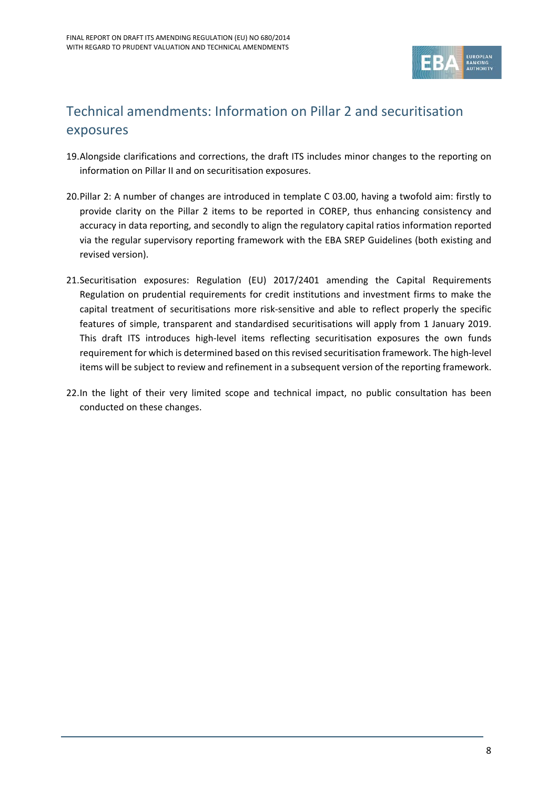

# Technical amendments: Information on Pillar 2 and securitisation exposures

- 19.Alongside clarifications and corrections, the draft ITS includes minor changes to the reporting on information on Pillar II and on securitisation exposures.
- 20.Pillar 2: A number of changes are introduced in template C 03.00, having a twofold aim: firstly to provide clarity on the Pillar 2 items to be reported in COREP, thus enhancing consistency and accuracy in data reporting, and secondly to align the regulatory capital ratios information reported via the regular supervisory reporting framework with the EBA SREP Guidelines (both existing and revised version).
- 21.Securitisation exposures: Regulation (EU) 2017/2401 amending the Capital Requirements Regulation on prudential requirements for credit institutions and investment firms to make the capital treatment of securitisations more risk-sensitive and able to reflect properly the specific features of simple, transparent and standardised securitisations will apply from 1 January 2019. This draft ITS introduces high-level items reflecting securitisation exposures the own funds requirement for which is determined based on this revised securitisation framework. The high-level items will be subject to review and refinement in a subsequent version of the reporting framework.
- 22.In the light of their very limited scope and technical impact, no public consultation has been conducted on these changes.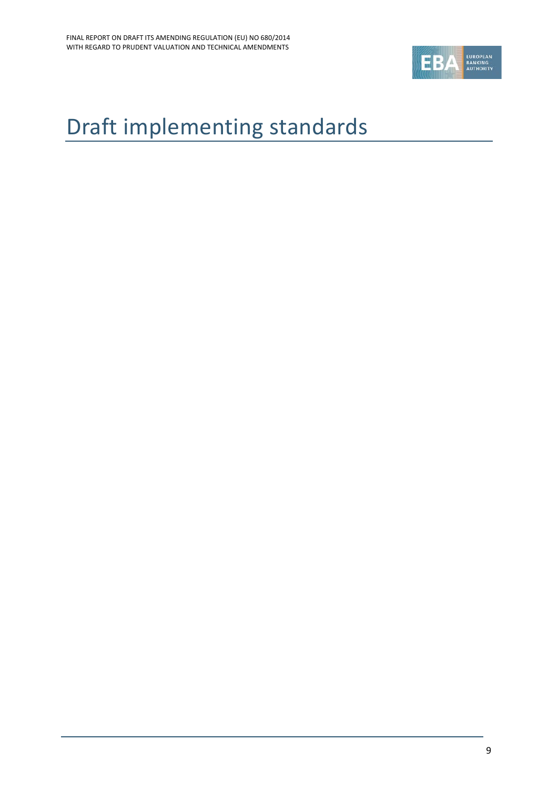

# <span id="page-8-0"></span>Draft implementing standards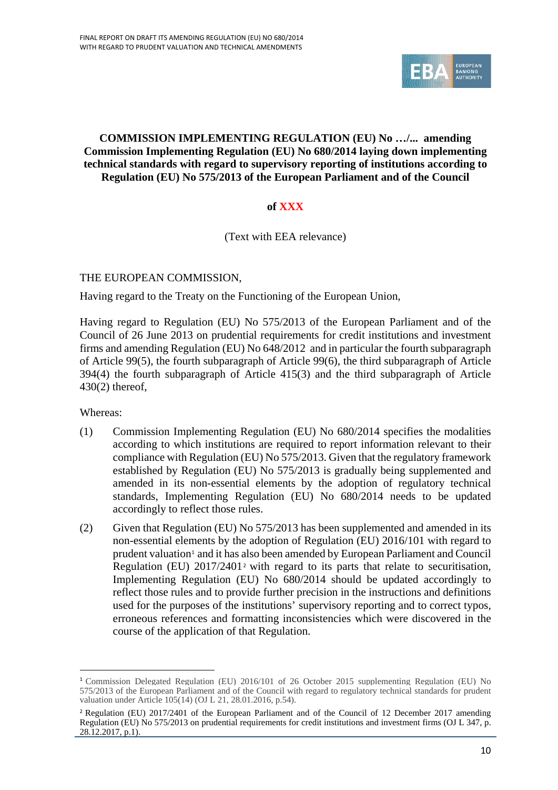

### **COMMISSION IMPLEMENTING REGULATION (EU) No …/... amending Commission Implementing Regulation (EU) No 680/2014 laying down implementing technical standards with regard to supervisory reporting of institutions according to Regulation (EU) No 575/2013 of the European Parliament and of the Council**

## **of XXX**

(Text with EEA relevance)

### THE EUROPEAN COMMISSION,

Having regard to the Treaty on the Functioning of the European Union,

Having regard to Regulation (EU) No 575/2013 of the European Parliament and of the Council of 26 June 2013 on prudential requirements for credit institutions and investment firms and amending Regulation (EU) No 648/2012 and in particular the fourth subparagraph of Article 99(5), the fourth subparagraph of Article 99(6), the third subparagraph of Article 394(4) the fourth subparagraph of Article 415(3) and the third subparagraph of Article 430(2) thereof,

Whereas:

j

- (1) Commission Implementing Regulation (EU) No 680/2014 specifies the modalities according to which institutions are required to report information relevant to their compliance with Regulation (EU) No 575/2013. Given that the regulatory framework established by Regulation (EU) No 575/2013 is gradually being supplemented and amended in its non-essential elements by the adoption of regulatory technical standards, Implementing Regulation (EU) No 680/2014 needs to be updated accordingly to reflect those rules.
- (2) Given that Regulation (EU) No 575/2013 has been supplemented and amended in its non-essential elements by the adoption of Regulation (EU) 2016/101 with regard to prudent valuation<sup>[1](#page-9-0)</sup> and it has also been amended by European Parliament and Council Regulation (EU)  $2017/2401^2$  $2017/2401^2$  with regard to its parts that relate to securitisation, Implementing Regulation (EU) No 680/2014 should be updated accordingly to reflect those rules and to provide further precision in the instructions and definitions used for the purposes of the institutions' supervisory reporting and to correct typos, erroneous references and formatting inconsistencies which were discovered in the course of the application of that Regulation.

<span id="page-9-0"></span><sup>1</sup> Commission Delegated Regulation (EU) 2016/101 of 26 October 2015 supplementing Regulation (EU) No 575/2013 of the European Parliament and of the Council with regard to regulatory technical standards for prudent valuation under Article 105(14) (OJ L 21, 28.01.2016, p.54).

<span id="page-9-1"></span><sup>2</sup> Regulation (EU) 2017/2401 of the European Parliament and of the Council of 12 December 2017 amending Regulation (EU) No 575/2013 on prudential requirements for credit institutions and investment firms (OJ L 347, p.  $28.12.2017$ , p.1).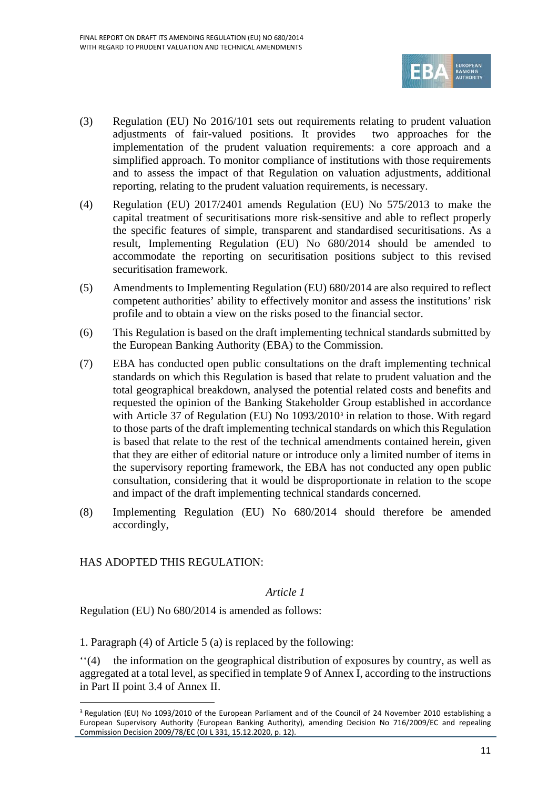

- (3) Regulation (EU) No 2016/101 sets out requirements relating to prudent valuation adjustments of fair-valued positions. It provides two approaches for the implementation of the prudent valuation requirements: a core approach and a simplified approach. To monitor compliance of institutions with those requirements and to assess the impact of that Regulation on valuation adjustments, additional reporting, relating to the prudent valuation requirements, is necessary.
- (4) Regulation (EU) 2017/2401 amends Regulation (EU) No 575/2013 to make the capital treatment of securitisations more risk-sensitive and able to reflect properly the specific features of simple, transparent and standardised securitisations. As a result, Implementing Regulation (EU) No 680/2014 should be amended to accommodate the reporting on securitisation positions subject to this revised securitisation framework.
- (5) Amendments to Implementing Regulation (EU) 680/2014 are also required to reflect competent authorities' ability to effectively monitor and assess the institutions' risk profile and to obtain a view on the risks posed to the financial sector.
- (6) This Regulation is based on the draft implementing technical standards submitted by the European Banking Authority (EBA) to the Commission.
- (7) EBA has conducted open public consultations on the draft implementing technical standards on which this Regulation is based that relate to prudent valuation and the total geographical breakdown, analysed the potential related costs and benefits and requested the opinion of the Banking Stakeholder Group established in accordance with Article [3](#page-10-0)7 of Regulation (EU) No 1093/2010<sup>3</sup> in relation to those. With regard to those parts of the draft implementing technical standards on which this Regulation is based that relate to the rest of the technical amendments contained herein, given that they are either of editorial nature or introduce only a limited number of items in the supervisory reporting framework, the EBA has not conducted any open public consultation, considering that it would be disproportionate in relation to the scope and impact of the draft implementing technical standards concerned.
- (8) Implementing Regulation (EU) No 680/2014 should therefore be amended accordingly,

## HAS ADOPTED THIS REGULATION·

 $\overline{a}$ 

### *Article 1*

Regulation (EU) No 680/2014 is amended as follows:

1. Paragraph (4) of Article 5 (a) is replaced by the following:

''(4) the information on the geographical distribution of exposures by country, as well as aggregated at a total level, as specified in template 9 of Annex I, according to the instructions in Part II point 3.4 of Annex II.

<span id="page-10-0"></span><sup>&</sup>lt;sup>3</sup> Regulation (EU) No 1093/2010 of the European Parliament and of the Council of 24 November 2010 establishing a European Supervisory Authority (European Banking Authority), amending Decision No 716/2009/EC and repealing Commission Decision 2009/78/EC (OJ L 331, 15.12.2020, p. 12).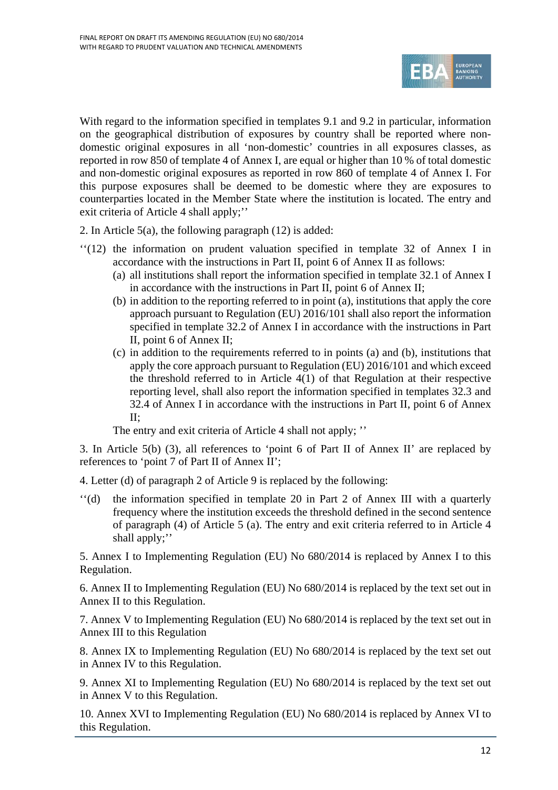

With regard to the information specified in templates 9.1 and 9.2 in particular, information on the geographical distribution of exposures by country shall be reported where nondomestic original exposures in all 'non-domestic' countries in all exposures classes, as reported in row 850 of template 4 of Annex I, are equal or higher than 10 % of total domestic and non-domestic original exposures as reported in row 860 of template 4 of Annex I. For this purpose exposures shall be deemed to be domestic where they are exposures to counterparties located in the Member State where the institution is located. The entry and exit criteria of Article 4 shall apply;''

2. In Article 5(a), the following paragraph (12) is added:

- ''(12) the information on prudent valuation specified in template 32 of Annex I in accordance with the instructions in Part II, point 6 of Annex II as follows:
	- (a) all institutions shall report the information specified in template 32.1 of Annex I in accordance with the instructions in Part II, point 6 of Annex II;
	- (b) in addition to the reporting referred to in point (a), institutions that apply the core approach pursuant to Regulation (EU) 2016/101 shall also report the information specified in template 32.2 of Annex I in accordance with the instructions in Part II, point 6 of Annex II;
	- (c) in addition to the requirements referred to in points (a) and (b), institutions that apply the core approach pursuant to Regulation (EU) 2016/101 and which exceed the threshold referred to in Article 4(1) of that Regulation at their respective reporting level, shall also report the information specified in templates 32.3 and 32.4 of Annex I in accordance with the instructions in Part II, point 6 of Annex II;

The entry and exit criteria of Article 4 shall not apply; ''

3. In Article 5(b) (3), all references to 'point 6 of Part II of Annex II' are replaced by references to 'point 7 of Part II of Annex II';

4. Letter (d) of paragraph 2 of Article 9 is replaced by the following:

''(d) the information specified in template 20 in Part 2 of Annex III with a quarterly frequency where the institution exceeds the threshold defined in the second sentence of paragraph (4) of Article 5 (a). The entry and exit criteria referred to in Article 4 shall apply;''

5. Annex I to Implementing Regulation (EU) No 680/2014 is replaced by Annex I to this Regulation.

6. Annex II to Implementing Regulation (EU) No 680/2014 is replaced by the text set out in Annex II to this Regulation.

7. Annex V to Implementing Regulation (EU) No 680/2014 is replaced by the text set out in Annex III to this Regulation

8. Annex IX to Implementing Regulation (EU) No 680/2014 is replaced by the text set out in Annex IV to this Regulation.

9. Annex XI to Implementing Regulation (EU) No 680/2014 is replaced by the text set out in Annex V to this Regulation.

10. Annex XVI to Implementing Regulation (EU) No 680/2014 is replaced by Annex VI to this Regulation.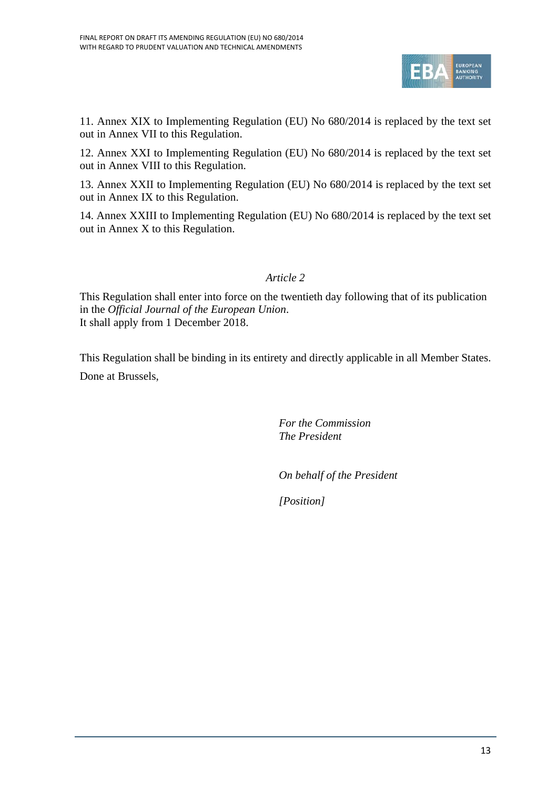

11. Annex XIX to Implementing Regulation (EU) No 680/2014 is replaced by the text set out in Annex VII to this Regulation.

12. Annex XXI to Implementing Regulation (EU) No 680/2014 is replaced by the text set out in Annex VIII to this Regulation.

13. Annex XXII to Implementing Regulation (EU) No 680/2014 is replaced by the text set out in Annex IX to this Regulation.

14. Annex XXIII to Implementing Regulation (EU) No 680/2014 is replaced by the text set out in Annex X to this Regulation.

*Article 2*

This Regulation shall enter into force on the twentieth day following that of its publication in the *Official Journal of the European Union*. It shall apply from 1 December 2018.

This Regulation shall be binding in its entirety and directly applicable in all Member States. Done at Brussels,

> *For the Commission The President*

*On behalf of the President*

*[Position]*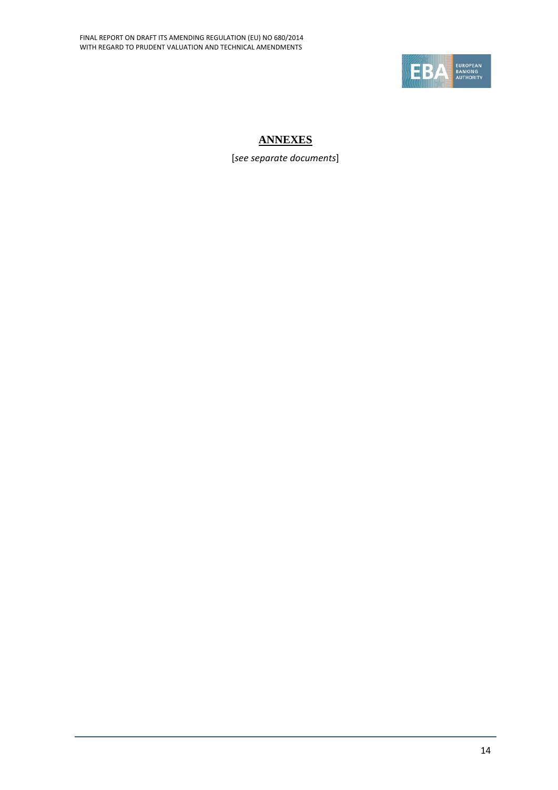

## **ANNEXES**

[*see separate documents*]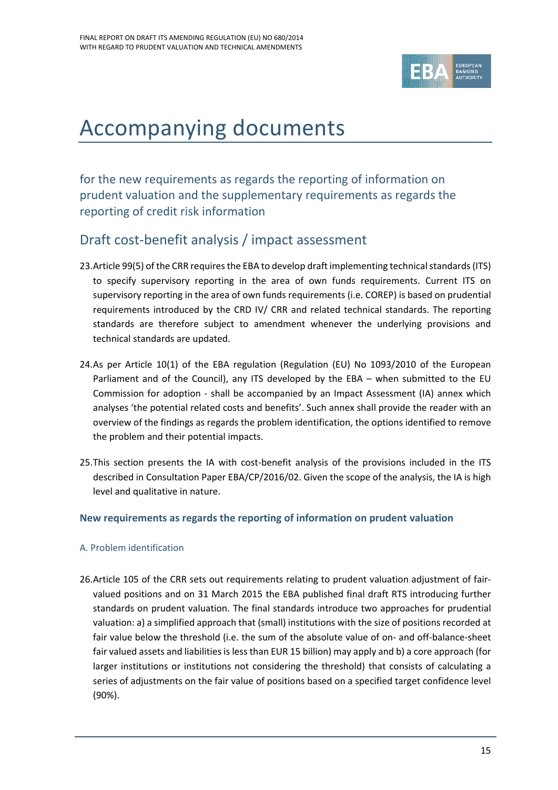

# <span id="page-14-0"></span>Accompanying documents

for the new requirements as regards the reporting of information on prudent valuation and the supplementary requirements as regards the reporting of credit risk information

## <span id="page-14-1"></span>Draft cost-benefit analysis / impact assessment

- 23.Article 99(5) of the CRR requires the EBA to develop draft implementing technical standards (ITS) to specify supervisory reporting in the area of own funds requirements. Current ITS on supervisory reporting in the area of own funds requirements (i.e. COREP) is based on prudential requirements introduced by the CRD IV/ CRR and related technical standards. The reporting standards are therefore subject to amendment whenever the underlying provisions and technical standards are updated.
- 24.As per Article 10(1) of the EBA regulation (Regulation (EU) No 1093/2010 of the European Parliament and of the Council), any ITS developed by the EBA – when submitted to the EU Commission for adoption - shall be accompanied by an Impact Assessment (IA) annex which analyses 'the potential related costs and benefits'. Such annex shall provide the reader with an overview of the findings as regards the problem identification, the options identified to remove the problem and their potential impacts.
- 25.This section presents the IA with cost-benefit analysis of the provisions included in the ITS described in Consultation Paper EBA/CP/2016/02. Given the scope of the analysis, the IA is high level and qualitative in nature.

## **New requirements as regards the reporting of information on prudent valuation**

## A. Problem identification

26.Article 105 of the CRR sets out requirements relating to prudent valuation adjustment of fairvalued positions and on 31 March 2015 the EBA published final draft RTS introducing further standards on prudent valuation. The final standards introduce two approaches for prudential valuation: a) a simplified approach that (small) institutions with the size of positions recorded at fair value below the threshold (i.e. the sum of the absolute value of on- and off-balance-sheet fair valued assets and liabilities is less than EUR 15 billion) may apply and b) a core approach (for larger institutions or institutions not considering the threshold) that consists of calculating a series of adjustments on the fair value of positions based on a specified target confidence level (90%).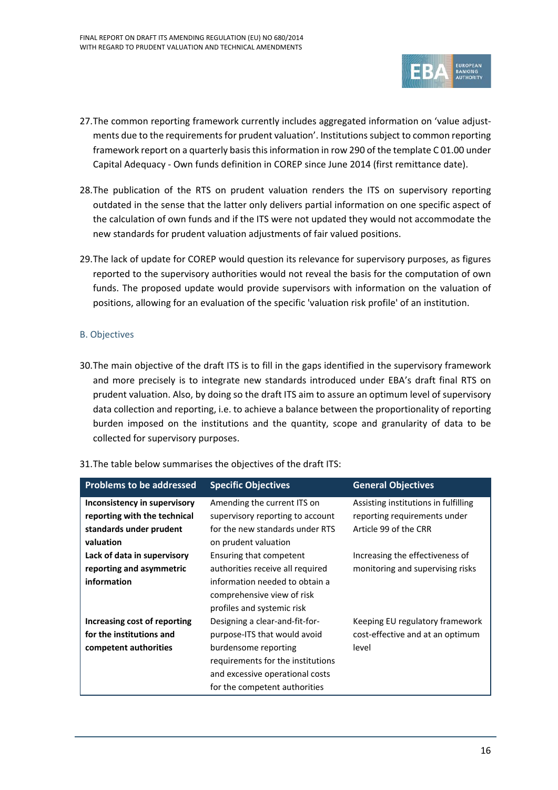

- 27.The common reporting framework currently includes aggregated information on 'value adjustments due to the requirements for prudent valuation'. Institutions subject to common reporting framework report on a quarterly basis this information in row 290 of the template C 01.00 under Capital Adequacy - Own funds definition in COREP since June 2014 (first remittance date).
- 28.The publication of the RTS on prudent valuation renders the ITS on supervisory reporting outdated in the sense that the latter only delivers partial information on one specific aspect of the calculation of own funds and if the ITS were not updated they would not accommodate the new standards for prudent valuation adjustments of fair valued positions.
- 29.The lack of update for COREP would question its relevance for supervisory purposes, as figures reported to the supervisory authorities would not reveal the basis for the computation of own funds. The proposed update would provide supervisors with information on the valuation of positions, allowing for an evaluation of the specific 'valuation risk profile' of an institution.

### B. Objectives

30.The main objective of the draft ITS is to fill in the gaps identified in the supervisory framework and more precisely is to integrate new standards introduced under EBA's draft final RTS on prudent valuation. Also, by doing so the draft ITS aim to assure an optimum level of supervisory data collection and reporting, i.e. to achieve a balance between the proportionality of reporting burden imposed on the institutions and the quantity, scope and granularity of data to be collected for supervisory purposes.

### 31.The table below summarises the objectives of the draft ITS:

| <b>Problems to be addressed</b> | <b>Specific Objectives</b>        | <b>General Objectives</b>            |
|---------------------------------|-----------------------------------|--------------------------------------|
| Inconsistency in supervisory    | Amending the current ITS on       | Assisting institutions in fulfilling |
| reporting with the technical    | supervisory reporting to account  | reporting requirements under         |
| standards under prudent         | for the new standards under RTS   | Article 99 of the CRR                |
| valuation                       | on prudent valuation              |                                      |
| Lack of data in supervisory     | Ensuring that competent           | Increasing the effectiveness of      |
| reporting and asymmetric        | authorities receive all required  | monitoring and supervising risks     |
| information                     | information needed to obtain a    |                                      |
|                                 | comprehensive view of risk        |                                      |
|                                 | profiles and systemic risk        |                                      |
| Increasing cost of reporting    | Designing a clear-and-fit-for-    | Keeping EU regulatory framework      |
| for the institutions and        | purpose-ITS that would avoid      | cost-effective and at an optimum     |
| competent authorities           | burdensome reporting              | level                                |
|                                 | requirements for the institutions |                                      |
|                                 | and excessive operational costs   |                                      |
|                                 | for the competent authorities     |                                      |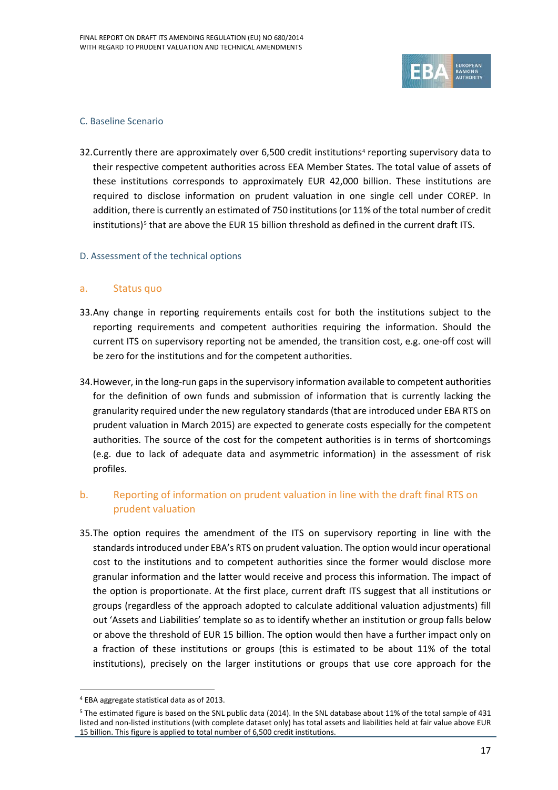

#### C. Baseline Scenario

32. Currently there are approximately over 6.500 credit institutions<sup>[4](#page-16-0)</sup> reporting supervisory data to their respective competent authorities across EEA Member States. The total value of assets of these institutions corresponds to approximately EUR 42,000 billion. These institutions are required to disclose information on prudent valuation in one single cell under COREP. In addition, there is currently an estimated of 750 institutions (or 11% of the total number of credit institutions)<sup>[5](#page-16-1)</sup> that are above the EUR 15 billion threshold as defined in the current draft ITS.

### D. Assessment of the technical options

#### a. Status quo

- 33.Any change in reporting requirements entails cost for both the institutions subject to the reporting requirements and competent authorities requiring the information. Should the current ITS on supervisory reporting not be amended, the transition cost, e.g. one-off cost will be zero for the institutions and for the competent authorities.
- 34.However, in the long-run gaps in the supervisory information available to competent authorities for the definition of own funds and submission of information that is currently lacking the granularity required under the new regulatory standards (that are introduced under EBA RTS on prudent valuation in March 2015) are expected to generate costs especially for the competent authorities. The source of the cost for the competent authorities is in terms of shortcomings (e.g. due to lack of adequate data and asymmetric information) in the assessment of risk profiles.

## b. Reporting of information on prudent valuation in line with the draft final RTS on prudent valuation

35.The option requires the amendment of the ITS on supervisory reporting in line with the standards introduced under EBA's RTS on prudent valuation. The option would incur operational cost to the institutions and to competent authorities since the former would disclose more granular information and the latter would receive and process this information. The impact of the option is proportionate. At the first place, current draft ITS suggest that all institutions or groups (regardless of the approach adopted to calculate additional valuation adjustments) fill out 'Assets and Liabilities' template so as to identify whether an institution or group falls below or above the threshold of EUR 15 billion. The option would then have a further impact only on a fraction of these institutions or groups (this is estimated to be about 11% of the total institutions), precisely on the larger institutions or groups that use core approach for the

 $\overline{a}$ 

<sup>4</sup> EBA aggregate statistical data as of 2013.

<span id="page-16-1"></span><span id="page-16-0"></span><sup>5</sup> The estimated figure is based on the SNL public data (2014). In the SNL database about 11% of the total sample of 431 listed and non-listed institutions (with complete dataset only) has total assets and liabilities held at fair value above EUR 15 billion. This figure is applied to total number of 6,500 credit institutions.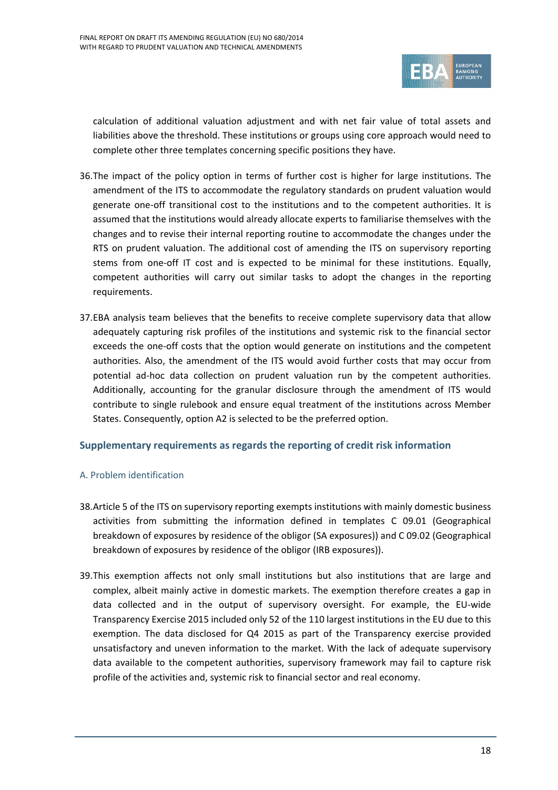

calculation of additional valuation adjustment and with net fair value of total assets and liabilities above the threshold. These institutions or groups using core approach would need to complete other three templates concerning specific positions they have.

- 36.The impact of the policy option in terms of further cost is higher for large institutions. The amendment of the ITS to accommodate the regulatory standards on prudent valuation would generate one-off transitional cost to the institutions and to the competent authorities. It is assumed that the institutions would already allocate experts to familiarise themselves with the changes and to revise their internal reporting routine to accommodate the changes under the RTS on prudent valuation. The additional cost of amending the ITS on supervisory reporting stems from one-off IT cost and is expected to be minimal for these institutions. Equally, competent authorities will carry out similar tasks to adopt the changes in the reporting requirements.
- 37.EBA analysis team believes that the benefits to receive complete supervisory data that allow adequately capturing risk profiles of the institutions and systemic risk to the financial sector exceeds the one-off costs that the option would generate on institutions and the competent authorities. Also, the amendment of the ITS would avoid further costs that may occur from potential ad-hoc data collection on prudent valuation run by the competent authorities. Additionally, accounting for the granular disclosure through the amendment of ITS would contribute to single rulebook and ensure equal treatment of the institutions across Member States. Consequently, option A2 is selected to be the preferred option.

### **Supplementary requirements as regards the reporting of credit risk information**

### A. Problem identification

- 38.Article 5 of the ITS on supervisory reporting exempts institutions with mainly domestic business activities from submitting the information defined in templates C 09.01 (Geographical breakdown of exposures by residence of the obligor (SA exposures)) and C 09.02 (Geographical breakdown of exposures by residence of the obligor (IRB exposures)).
- 39.This exemption affects not only small institutions but also institutions that are large and complex, albeit mainly active in domestic markets. The exemption therefore creates a gap in data collected and in the output of supervisory oversight. For example, the EU-wide Transparency Exercise 2015 included only 52 of the 110 largest institutions in the EU due to this exemption. The data disclosed for Q4 2015 as part of the Transparency exercise provided unsatisfactory and uneven information to the market. With the lack of adequate supervisory data available to the competent authorities, supervisory framework may fail to capture risk profile of the activities and, systemic risk to financial sector and real economy.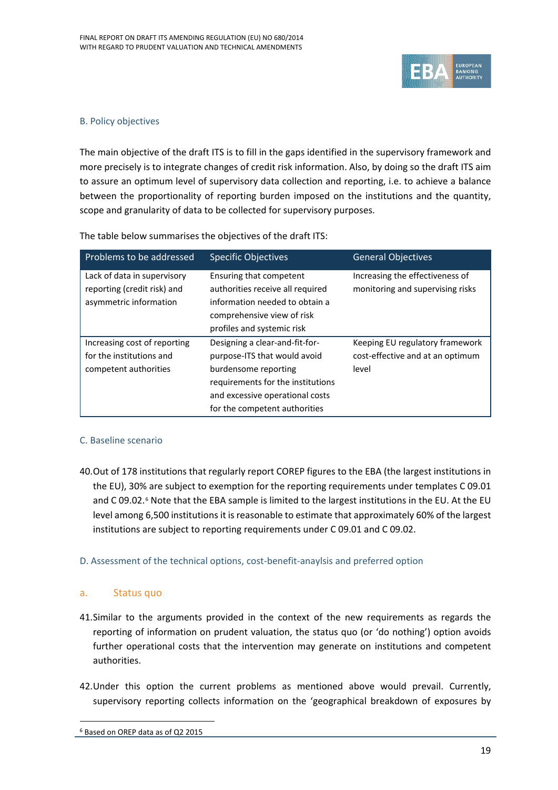

#### B. Policy objectives

The main objective of the draft ITS is to fill in the gaps identified in the supervisory framework and more precisely is to integrate changes of credit risk information. Also, by doing so the draft ITS aim to assure an optimum level of supervisory data collection and reporting, i.e. to achieve a balance between the proportionality of reporting burden imposed on the institutions and the quantity, scope and granularity of data to be collected for supervisory purposes.

| Problems to be addressed                                                             | <b>Specific Objectives</b>                                                                                                                                                                      | <b>General Objectives</b>                                                    |
|--------------------------------------------------------------------------------------|-------------------------------------------------------------------------------------------------------------------------------------------------------------------------------------------------|------------------------------------------------------------------------------|
| Lack of data in supervisory<br>reporting (credit risk) and<br>asymmetric information | Ensuring that competent<br>authorities receive all required<br>information needed to obtain a<br>comprehensive view of risk<br>profiles and systemic risk                                       | Increasing the effectiveness of<br>monitoring and supervising risks          |
| Increasing cost of reporting<br>for the institutions and<br>competent authorities    | Designing a clear-and-fit-for-<br>purpose-ITS that would avoid<br>burdensome reporting<br>requirements for the institutions<br>and excessive operational costs<br>for the competent authorities | Keeping EU regulatory framework<br>cost-effective and at an optimum<br>level |

The table below summarises the objectives of the draft ITS:

### C. Baseline scenario

40.Out of 178 institutions that regularly report COREP figures to the EBA (the largest institutions in the EU), 30% are subject to exemption for the reporting requirements under templates C 09.01 and C 09.02.<sup>[6](#page-18-0)</sup> Note that the EBA sample is limited to the largest institutions in the EU. At the EU level among 6,500 institutions it is reasonable to estimate that approximately 60% of the largest institutions are subject to reporting requirements under C 09.01 and C 09.02.

### D. Assessment of the technical options, cost-benefit-anaylsis and preferred option

### a. Status quo

- 41.Similar to the arguments provided in the context of the new requirements as regards the reporting of information on prudent valuation, the status quo (or 'do nothing') option avoids further operational costs that the intervention may generate on institutions and competent authorities.
- 42.Under this option the current problems as mentioned above would prevail. Currently, supervisory reporting collects information on the 'geographical breakdown of exposures by

<span id="page-18-0"></span> $\overline{a}$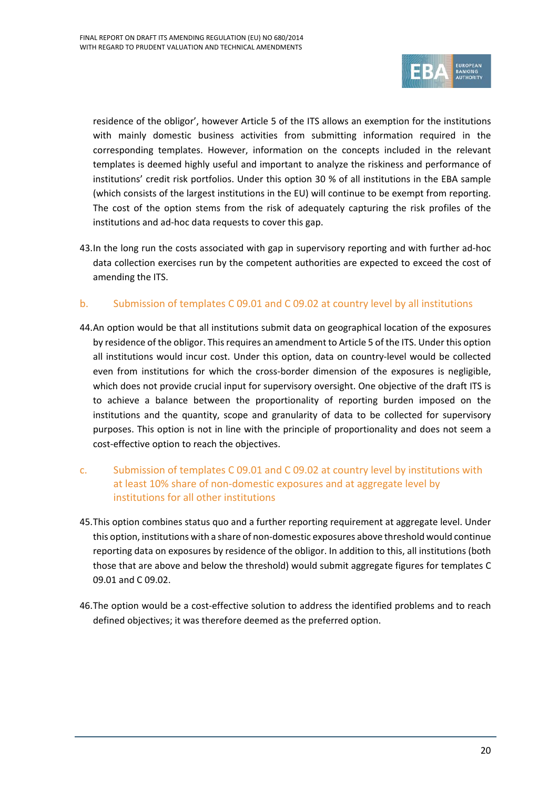

residence of the obligor', however Article 5 of the ITS allows an exemption for the institutions with mainly domestic business activities from submitting information required in the corresponding templates. However, information on the concepts included in the relevant templates is deemed highly useful and important to analyze the riskiness and performance of institutions' credit risk portfolios. Under this option 30 % of all institutions in the EBA sample (which consists of the largest institutions in the EU) will continue to be exempt from reporting. The cost of the option stems from the risk of adequately capturing the risk profiles of the institutions and ad-hoc data requests to cover this gap.

43.In the long run the costs associated with gap in supervisory reporting and with further ad-hoc data collection exercises run by the competent authorities are expected to exceed the cost of amending the ITS.

## b. Submission of templates C 09.01 and C 09.02 at country level by all institutions

- 44.An option would be that all institutions submit data on geographical location of the exposures by residence of the obligor. This requires an amendment to Article 5 of the ITS. Under this option all institutions would incur cost. Under this option, data on country-level would be collected even from institutions for which the cross-border dimension of the exposures is negligible, which does not provide crucial input for supervisory oversight. One objective of the draft ITS is to achieve a balance between the proportionality of reporting burden imposed on the institutions and the quantity, scope and granularity of data to be collected for supervisory purposes. This option is not in line with the principle of proportionality and does not seem a cost-effective option to reach the objectives.
- c. Submission of templates C 09.01 and C 09.02 at country level by institutions with at least 10% share of non-domestic exposures and at aggregate level by institutions for all other institutions
- 45.This option combines status quo and a further reporting requirement at aggregate level. Under this option, institutions with a share of non-domestic exposures above threshold would continue reporting data on exposures by residence of the obligor. In addition to this, all institutions (both those that are above and below the threshold) would submit aggregate figures for templates C 09.01 and C 09.02.
- 46.The option would be a cost-effective solution to address the identified problems and to reach defined objectives; it was therefore deemed as the preferred option.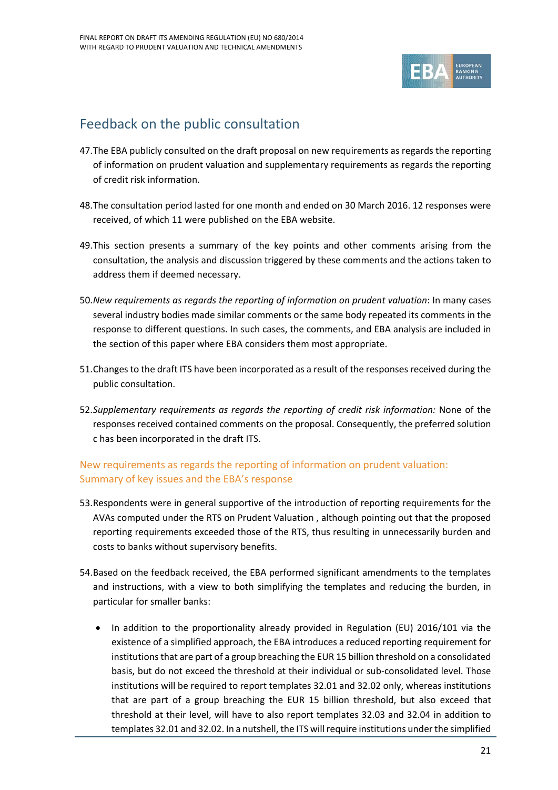

# <span id="page-20-0"></span>Feedback on the public consultation

- 47.The EBA publicly consulted on the draft proposal on new requirements as regards the reporting of information on prudent valuation and supplementary requirements as regards the reporting of credit risk information.
- 48.The consultation period lasted for one month and ended on 30 March 2016. 12 responses were received, of which 11 were published on the EBA website.
- 49.This section presents a summary of the key points and other comments arising from the consultation, the analysis and discussion triggered by these comments and the actions taken to address them if deemed necessary.
- 50.*New requirements as regards the reporting of information on prudent valuation*: In many cases several industry bodies made similar comments or the same body repeated its comments in the response to different questions. In such cases, the comments, and EBA analysis are included in the section of this paper where EBA considers them most appropriate.
- 51.Changes to the draft ITS have been incorporated as a result of the responses received during the public consultation.
- 52.*Supplementary requirements as regards the reporting of credit risk information:* None of the responses received contained comments on the proposal. Consequently, the preferred solution c has been incorporated in the draft ITS.

## New requirements as regards the reporting of information on prudent valuation: Summary of key issues and the EBA's response

- 53.Respondents were in general supportive of the introduction of reporting requirements for the AVAs computed under the RTS on Prudent Valuation , although pointing out that the proposed reporting requirements exceeded those of the RTS, thus resulting in unnecessarily burden and costs to banks without supervisory benefits.
- 54.Based on the feedback received, the EBA performed significant amendments to the templates and instructions, with a view to both simplifying the templates and reducing the burden, in particular for smaller banks:
	- In addition to the proportionality already provided in Regulation (EU) 2016/101 via the existence of a simplified approach, the EBA introduces a reduced reporting requirement for institutions that are part of a group breaching the EUR 15 billion threshold on a consolidated basis, but do not exceed the threshold at their individual or sub-consolidated level. Those institutions will be required to report templates 32.01 and 32.02 only, whereas institutions that are part of a group breaching the EUR 15 billion threshold, but also exceed that threshold at their level, will have to also report templates 32.03 and 32.04 in addition to templates 32.01 and 32.02. In a nutshell, the ITS will require institutions under the simplified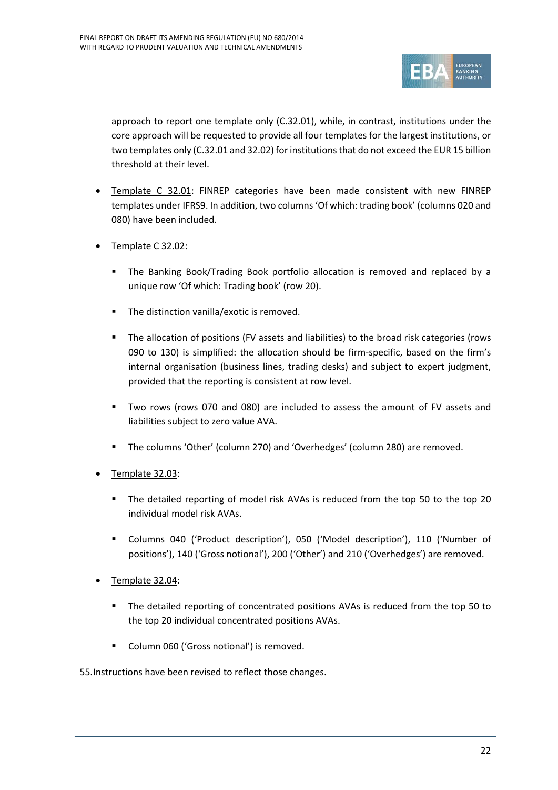

approach to report one template only (C.32.01), while, in contrast, institutions under the core approach will be requested to provide all four templates for the largest institutions, or two templates only (C.32.01 and 32.02) for institutions that do not exceed the EUR 15 billion threshold at their level.

- Template C 32.01: FINREP categories have been made consistent with new FINREP templates under IFRS9. In addition, two columns 'Of which: trading book' (columns 020 and 080) have been included.
- Template C 32.02:
	- The Banking Book/Trading Book portfolio allocation is removed and replaced by a unique row 'Of which: Trading book' (row 20).
	- **The distinction vanilla/exotic is removed.**
	- The allocation of positions (FV assets and liabilities) to the broad risk categories (rows 090 to 130) is simplified: the allocation should be firm-specific, based on the firm's internal organisation (business lines, trading desks) and subject to expert judgment, provided that the reporting is consistent at row level.
	- Two rows (rows 070 and 080) are included to assess the amount of FV assets and liabilities subject to zero value AVA.
	- The columns 'Other' (column 270) and 'Overhedges' (column 280) are removed.
- Template 32.03:
	- The detailed reporting of model risk AVAs is reduced from the top 50 to the top 20 individual model risk AVAs.
	- Columns 040 ('Product description'), 050 ('Model description'), 110 ('Number of positions'), 140 ('Gross notional'), 200 ('Other') and 210 ('Overhedges') are removed.
- Template 32.04:
	- The detailed reporting of concentrated positions AVAs is reduced from the top 50 to the top 20 individual concentrated positions AVAs.
	- **Column 060 ('Gross notional') is removed.**

55.Instructions have been revised to reflect those changes.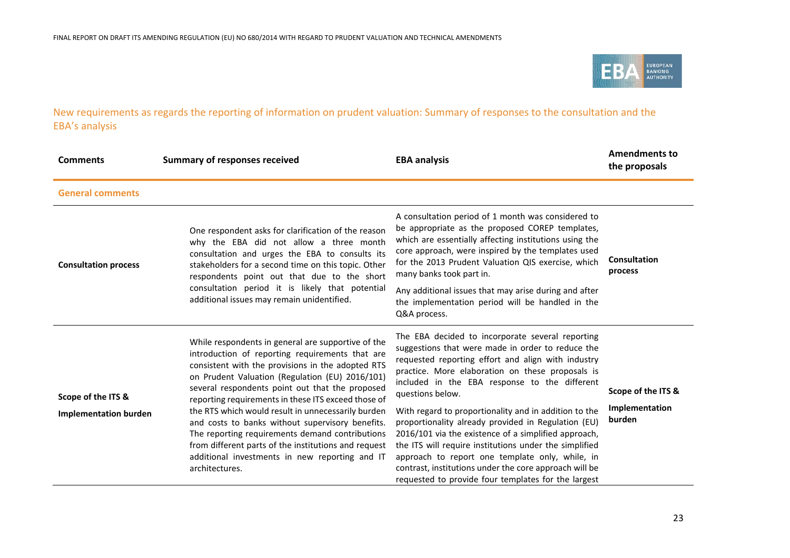

New requirements as regards the reporting of information on prudent valuation: Summary of responses to the consultation and the EBA's analysis

| <b>Comments</b>                                    | <b>Summary of responses received</b>                                                                                                                                                                                                                                                                                                                                                                                              | <b>EBA analysis</b>                                                                                                                                                                                                                                                                                                                                                                                  | <b>Amendments to</b><br>the proposals          |
|----------------------------------------------------|-----------------------------------------------------------------------------------------------------------------------------------------------------------------------------------------------------------------------------------------------------------------------------------------------------------------------------------------------------------------------------------------------------------------------------------|------------------------------------------------------------------------------------------------------------------------------------------------------------------------------------------------------------------------------------------------------------------------------------------------------------------------------------------------------------------------------------------------------|------------------------------------------------|
| <b>General comments</b>                            |                                                                                                                                                                                                                                                                                                                                                                                                                                   |                                                                                                                                                                                                                                                                                                                                                                                                      |                                                |
| <b>Consultation process</b>                        | One respondent asks for clarification of the reason<br>why the EBA did not allow a three month<br>consultation and urges the EBA to consults its<br>stakeholders for a second time on this topic. Other<br>respondents point out that due to the short<br>consultation period it is likely that potential<br>additional issues may remain unidentified.                                                                           | A consultation period of 1 month was considered to<br>be appropriate as the proposed COREP templates,<br>which are essentially affecting institutions using the<br>core approach, were inspired by the templates used<br>for the 2013 Prudent Valuation QIS exercise, which<br>many banks took part in.                                                                                              | Consultation<br>process                        |
|                                                    |                                                                                                                                                                                                                                                                                                                                                                                                                                   | Any additional issues that may arise during and after<br>the implementation period will be handled in the<br>Q&A process.                                                                                                                                                                                                                                                                            |                                                |
| Scope of the ITS &<br><b>Implementation burden</b> | While respondents in general are supportive of the<br>introduction of reporting requirements that are<br>consistent with the provisions in the adopted RTS<br>on Prudent Valuation (Regulation (EU) 2016/101)<br>several respondents point out that the proposed<br>reporting requirements in these ITS exceed those of<br>the RTS which would result in unnecessarily burden<br>and costs to banks without supervisory benefits. | The EBA decided to incorporate several reporting<br>suggestions that were made in order to reduce the<br>requested reporting effort and align with industry<br>practice. More elaboration on these proposals is<br>included in the EBA response to the different<br>questions below.<br>With regard to proportionality and in addition to the<br>proportionality already provided in Regulation (EU) | Scope of the ITS &<br>Implementation<br>burden |
|                                                    | The reporting requirements demand contributions<br>from different parts of the institutions and request<br>additional investments in new reporting and IT<br>architectures.                                                                                                                                                                                                                                                       | 2016/101 via the existence of a simplified approach,<br>the ITS will require institutions under the simplified<br>approach to report one template only, while, in<br>contrast, institutions under the core approach will be<br>requested to provide four templates for the largest                                                                                                                   |                                                |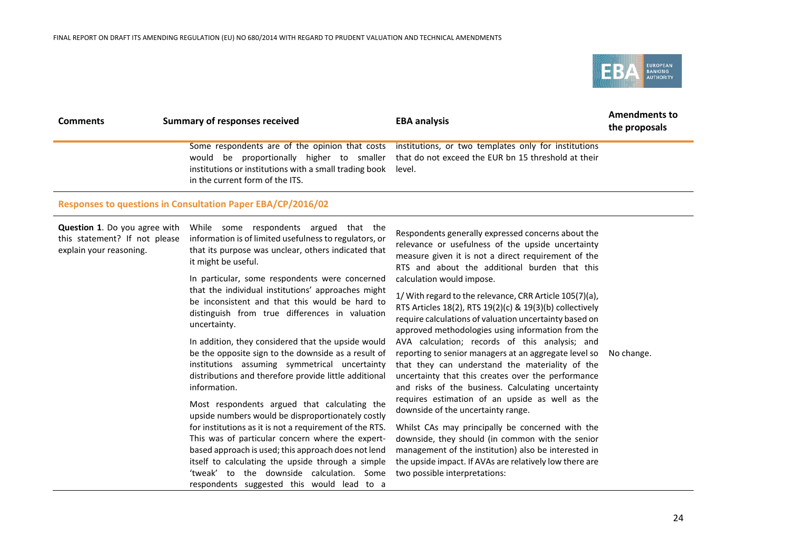

| <b>Comments</b> | Summary of responses received                                                                    | <b>EBA analysis</b>                                                                                                                                                                                  | <b>Amendments to</b><br>the proposals |
|-----------------|--------------------------------------------------------------------------------------------------|------------------------------------------------------------------------------------------------------------------------------------------------------------------------------------------------------|---------------------------------------|
|                 | institutions or institutions with a small trading book level.<br>in the current form of the ITS. | Some respondents are of the opinion that costs institutions, or two templates only for institutions<br>would be proportionally higher to smaller that do not exceed the EUR bn 15 threshold at their |                                       |
|                 |                                                                                                  |                                                                                                                                                                                                      |                                       |

#### **Responses to questions in Consultation Paper EBA/CP/2016/02**

**Question 1**. Do you agree with this statement? If not please explain your reasoning.

While some respondents argued that the information is of limited usefulness to regulators, or that its purpose was unclear, others indicated that it might be useful.

In particular, some respondents were concerned that the individual institutions' approaches might be inconsistent and that this would be hard to distinguish from true differences in valuation uncertainty.

In addition, they considered that the upside would be the opposite sign to the downside as a result of institutions assuming symmetrical uncertainty distributions and therefore provide little additional information.

Most respondents argued that calculating the upside numbers would be disproportionately costly for institutions as it is not a requirement of the RTS. This was of particular concern where the expertbased approach is used; this approach does not lend itself to calculating the upside through a simple 'tweak' to the downside calculation. Some respondents suggested this would lead to a

Respondents generally expressed concerns about the relevance or usefulness of the upside uncertainty measure given it is not a direct requirement of the RTS and about the additional burden that this calculation would impose.

1/ With regard to the relevance, CRR Article 105(7)(a), RTS Articles 18(2), RTS 19(2)(c) & 19(3)(b) collectively require calculations of valuation uncertainty based on approved methodologies using information from the AVA calculation; records of this analysis; and reporting to senior managers at an aggregate level so that they can understand the materiality of the uncertainty that this creates over the performance and risks of the business. Calculating uncertainty requires estimation of an upside as well as the downside of the uncertainty range.

Whilst CAs may principally be concerned with the downside, they should (in common with the senior management of the institution) also be interested in the upside impact. If AVAs are relatively low there are two possible interpretations:

No change.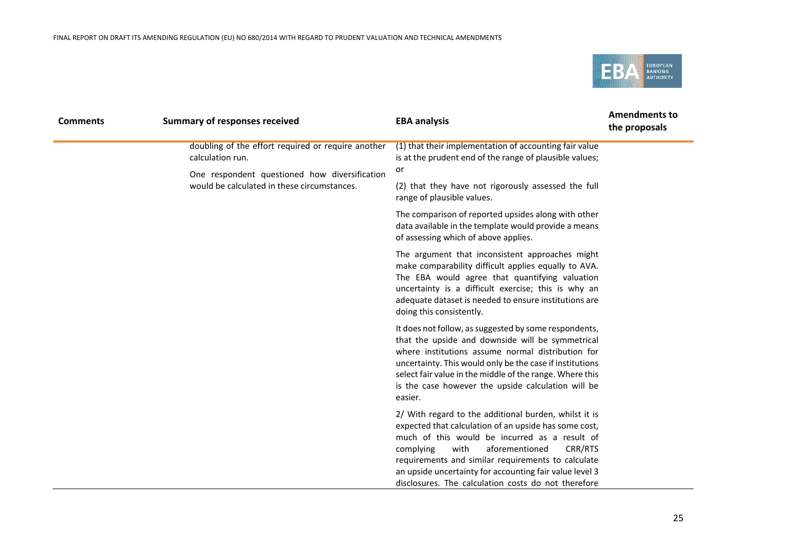

| <b>Comments</b> | <b>Summary of responses received</b>                                                         | <b>EBA analysis</b>                                                                                                                                                                                                                                                                                                                                                                       | <b>Amendments to</b><br>the proposals |
|-----------------|----------------------------------------------------------------------------------------------|-------------------------------------------------------------------------------------------------------------------------------------------------------------------------------------------------------------------------------------------------------------------------------------------------------------------------------------------------------------------------------------------|---------------------------------------|
|                 | doubling of the effort required or require another<br>calculation run.                       | (1) that their implementation of accounting fair value<br>is at the prudent end of the range of plausible values;                                                                                                                                                                                                                                                                         |                                       |
|                 | One respondent questioned how diversification<br>would be calculated in these circumstances. | or<br>(2) that they have not rigorously assessed the full<br>range of plausible values.                                                                                                                                                                                                                                                                                                   |                                       |
|                 |                                                                                              | The comparison of reported upsides along with other<br>data available in the template would provide a means<br>of assessing which of above applies.                                                                                                                                                                                                                                       |                                       |
|                 |                                                                                              | The argument that inconsistent approaches might<br>make comparability difficult applies equally to AVA.<br>The EBA would agree that quantifying valuation<br>uncertainty is a difficult exercise; this is why an<br>adequate dataset is needed to ensure institutions are<br>doing this consistently.                                                                                     |                                       |
|                 |                                                                                              | It does not follow, as suggested by some respondents,<br>that the upside and downside will be symmetrical<br>where institutions assume normal distribution for<br>uncertainty. This would only be the case if institutions<br>select fair value in the middle of the range. Where this<br>is the case however the upside calculation will be<br>easier.                                   |                                       |
|                 |                                                                                              | 2/ With regard to the additional burden, whilst it is<br>expected that calculation of an upside has some cost,<br>much of this would be incurred as a result of<br>with<br>aforementioned<br>CRR/RTS<br>complying<br>requirements and similar requirements to calculate<br>an upside uncertainty for accounting fair value level 3<br>disclosures. The calculation costs do not therefore |                                       |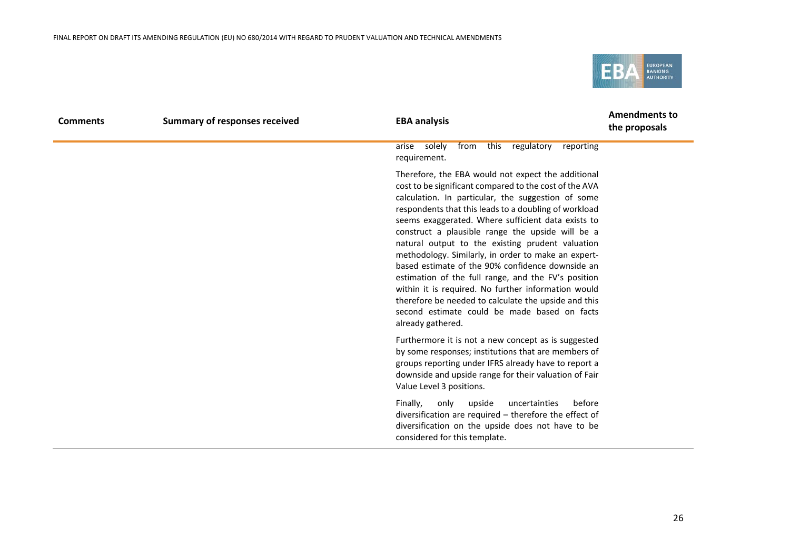

| <b>Comments</b> | <b>Summary of responses received</b> | <b>EBA analysis</b>                                                                                                                                                                                                                                                                                                                                                                                                                                                                                                                                                                                                                                                                                                                             | <b>Amendments to</b><br>the proposals |
|-----------------|--------------------------------------|-------------------------------------------------------------------------------------------------------------------------------------------------------------------------------------------------------------------------------------------------------------------------------------------------------------------------------------------------------------------------------------------------------------------------------------------------------------------------------------------------------------------------------------------------------------------------------------------------------------------------------------------------------------------------------------------------------------------------------------------------|---------------------------------------|
|                 |                                      | solely<br>from this regulatory reporting<br>arise<br>requirement.                                                                                                                                                                                                                                                                                                                                                                                                                                                                                                                                                                                                                                                                               |                                       |
|                 |                                      | Therefore, the EBA would not expect the additional<br>cost to be significant compared to the cost of the AVA<br>calculation. In particular, the suggestion of some<br>respondents that this leads to a doubling of workload<br>seems exaggerated. Where sufficient data exists to<br>construct a plausible range the upside will be a<br>natural output to the existing prudent valuation<br>methodology. Similarly, in order to make an expert-<br>based estimate of the 90% confidence downside an<br>estimation of the full range, and the FV's position<br>within it is required. No further information would<br>therefore be needed to calculate the upside and this<br>second estimate could be made based on facts<br>already gathered. |                                       |
|                 |                                      | Furthermore it is not a new concept as is suggested<br>by some responses; institutions that are members of<br>groups reporting under IFRS already have to report a<br>downside and upside range for their valuation of Fair<br>Value Level 3 positions.                                                                                                                                                                                                                                                                                                                                                                                                                                                                                         |                                       |
|                 |                                      | Finally,<br>before<br>only<br>upside<br>uncertainties<br>diversification are required - therefore the effect of<br>diversification on the upside does not have to be<br>considered for this template.                                                                                                                                                                                                                                                                                                                                                                                                                                                                                                                                           |                                       |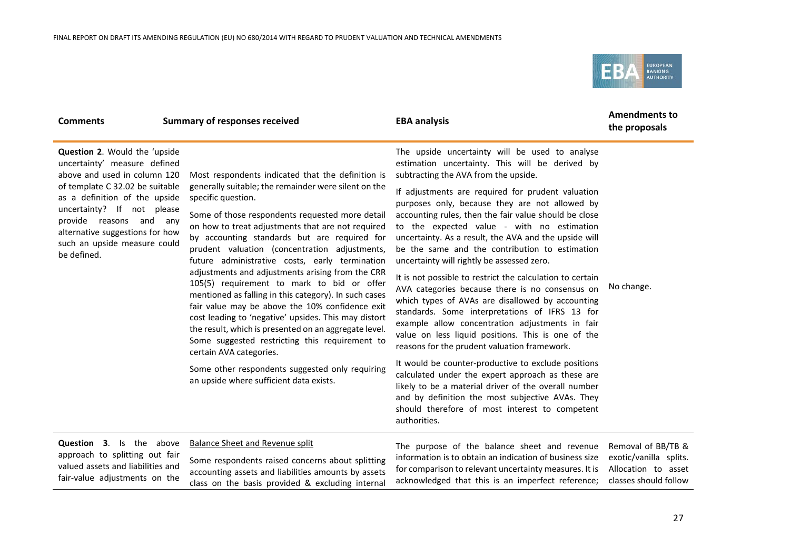class on the basis provided & excluding internal



| <b>Comments</b>                                                                                                                                                                                                                                                                                              | <b>Summary of responses received</b>                                                                                                                                                                                                                                                                                                                                                                                                                                                                                                                                                                                                                                                                                                                                                                                                                                                                 | <b>EBA analysis</b>                                                                                                                                                                                                                                                                                                                                                                                                                                                                                                                                                                                                                                                                                                                                                                                                                                                                                                                                                                                                                                                                                                                                                                       | <b>Amendments to</b><br>the proposals                                                        |
|--------------------------------------------------------------------------------------------------------------------------------------------------------------------------------------------------------------------------------------------------------------------------------------------------------------|------------------------------------------------------------------------------------------------------------------------------------------------------------------------------------------------------------------------------------------------------------------------------------------------------------------------------------------------------------------------------------------------------------------------------------------------------------------------------------------------------------------------------------------------------------------------------------------------------------------------------------------------------------------------------------------------------------------------------------------------------------------------------------------------------------------------------------------------------------------------------------------------------|-------------------------------------------------------------------------------------------------------------------------------------------------------------------------------------------------------------------------------------------------------------------------------------------------------------------------------------------------------------------------------------------------------------------------------------------------------------------------------------------------------------------------------------------------------------------------------------------------------------------------------------------------------------------------------------------------------------------------------------------------------------------------------------------------------------------------------------------------------------------------------------------------------------------------------------------------------------------------------------------------------------------------------------------------------------------------------------------------------------------------------------------------------------------------------------------|----------------------------------------------------------------------------------------------|
| Question 2. Would the 'upside<br>uncertainty' measure defined<br>above and used in column 120<br>of template C 32.02 be suitable<br>as a definition of the upside<br>uncertainty? If not please<br>provide reasons and any<br>alternative suggestions for how<br>such an upside measure could<br>be defined. | Most respondents indicated that the definition is<br>generally suitable; the remainder were silent on the<br>specific question.<br>Some of those respondents requested more detail<br>on how to treat adjustments that are not required<br>by accounting standards but are required for<br>prudent valuation (concentration adjustments,<br>future administrative costs, early termination<br>adjustments and adjustments arising from the CRR<br>105(5) requirement to mark to bid or offer<br>mentioned as falling in this category). In such cases<br>fair value may be above the 10% confidence exit<br>cost leading to 'negative' upsides. This may distort<br>the result, which is presented on an aggregate level.<br>Some suggested restricting this requirement to<br>certain AVA categories.<br>Some other respondents suggested only requiring<br>an upside where sufficient data exists. | The upside uncertainty will be used to analyse<br>estimation uncertainty. This will be derived by<br>subtracting the AVA from the upside.<br>If adjustments are required for prudent valuation<br>purposes only, because they are not allowed by<br>accounting rules, then the fair value should be close<br>to the expected value - with no estimation<br>uncertainty. As a result, the AVA and the upside will<br>be the same and the contribution to estimation<br>uncertainty will rightly be assessed zero.<br>It is not possible to restrict the calculation to certain<br>AVA categories because there is no consensus on<br>which types of AVAs are disallowed by accounting<br>standards. Some interpretations of IFRS 13 for<br>example allow concentration adjustments in fair<br>value on less liquid positions. This is one of the<br>reasons for the prudent valuation framework.<br>It would be counter-productive to exclude positions<br>calculated under the expert approach as these are<br>likely to be a material driver of the overall number<br>and by definition the most subjective AVAs. They<br>should therefore of most interest to competent<br>authorities. | No change.                                                                                   |
| <b>Question 3.</b> Is the above<br>approach to splitting out fair<br>valued assets and liabilities and<br>fair-value adjustments on the                                                                                                                                                                      | Balance Sheet and Revenue split<br>Some respondents raised concerns about splitting<br>accounting assets and liabilities amounts by assets<br>class on the basis provided & excluding internal                                                                                                                                                                                                                                                                                                                                                                                                                                                                                                                                                                                                                                                                                                       | The purpose of the balance sheet and revenue<br>information is to obtain an indication of business size<br>for comparison to relevant uncertainty measures. It is<br>acknowledged that this is an imperfect reference;                                                                                                                                                                                                                                                                                                                                                                                                                                                                                                                                                                                                                                                                                                                                                                                                                                                                                                                                                                    | Removal of BB/TB &<br>exotic/vanilla splits.<br>Allocation to asset<br>classes should follow |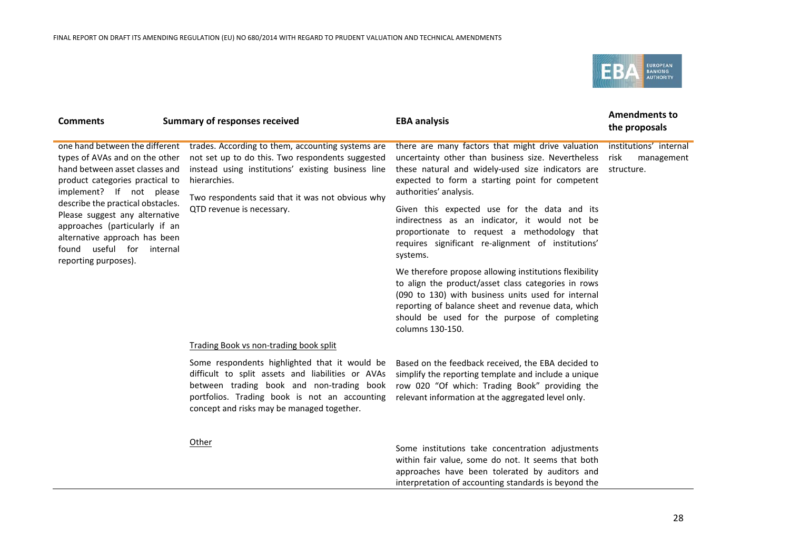

| <b>Comments</b>                                                                                                                                                                                        | <b>Summary of responses received</b>                                                                                                                                                                                                                         | <b>EBA analysis</b>                                                                                                                                                                                                                                                                           | <b>Amendments to</b><br>the proposals                      |
|--------------------------------------------------------------------------------------------------------------------------------------------------------------------------------------------------------|--------------------------------------------------------------------------------------------------------------------------------------------------------------------------------------------------------------------------------------------------------------|-----------------------------------------------------------------------------------------------------------------------------------------------------------------------------------------------------------------------------------------------------------------------------------------------|------------------------------------------------------------|
| one hand between the different<br>types of AVAs and on the other<br>hand between asset classes and<br>product categories practical to<br>implement? If not please<br>describe the practical obstacles. | trades. According to them, accounting systems are<br>not set up to do this. Two respondents suggested<br>instead using institutions' existing business line<br>hierarchies.<br>Two respondents said that it was not obvious why<br>QTD revenue is necessary. | there are many factors that might drive valuation<br>uncertainty other than business size. Nevertheless<br>these natural and widely-used size indicators are<br>expected to form a starting point for competent<br>authorities' analysis.<br>Given this expected use for the data and its     | institutions' internal<br>risk<br>management<br>structure. |
| Please suggest any alternative<br>approaches (particularly if an<br>alternative approach has been<br>found useful for internal<br>reporting purposes).                                                 |                                                                                                                                                                                                                                                              | indirectness as an indicator, it would not be<br>proportionate to request a methodology that<br>requires significant re-alignment of institutions'<br>systems.                                                                                                                                |                                                            |
|                                                                                                                                                                                                        |                                                                                                                                                                                                                                                              | We therefore propose allowing institutions flexibility<br>to align the product/asset class categories in rows<br>(090 to 130) with business units used for internal<br>reporting of balance sheet and revenue data, which<br>should be used for the purpose of completing<br>columns 130-150. |                                                            |
|                                                                                                                                                                                                        | Trading Book vs non-trading book split                                                                                                                                                                                                                       |                                                                                                                                                                                                                                                                                               |                                                            |
|                                                                                                                                                                                                        | Some respondents highlighted that it would be<br>difficult to split assets and liabilities or AVAs<br>between trading book and non-trading book<br>portfolios. Trading book is not an accounting<br>concept and risks may be managed together.               | Based on the feedback received, the EBA decided to<br>simplify the reporting template and include a unique<br>row 020 "Of which: Trading Book" providing the<br>relevant information at the aggregated level only.                                                                            |                                                            |
|                                                                                                                                                                                                        | Other                                                                                                                                                                                                                                                        | Some institutions take concentration adjustments<br>within fair value, some do not. It seems that both<br>approaches have been tolerated by auditors and                                                                                                                                      |                                                            |

interpretation of accounting standards is beyond the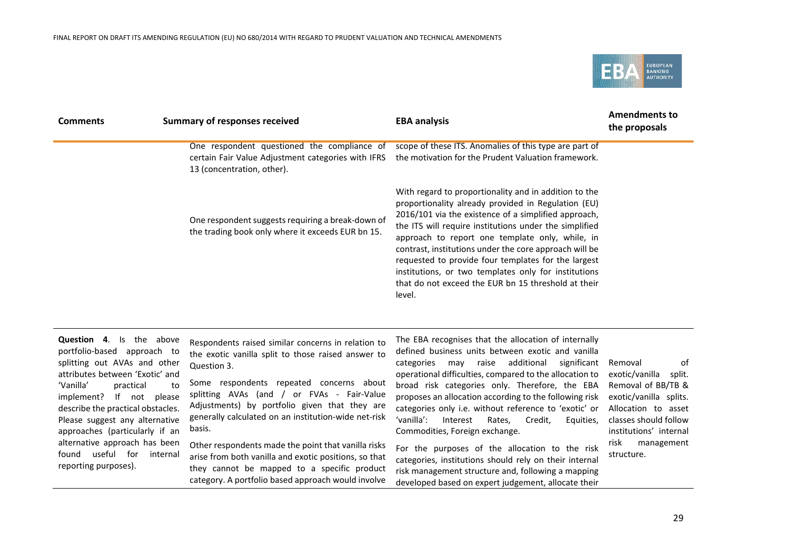

| <b>Comments</b>                                                                                                                                                                                                                                                                              | <b>Summary of responses received</b>                                                                                                                                                                                                                                                                                                                 | <b>EBA analysis</b>                                                                                                                                                                                                                                                                                                                                                                                                                                                                                                         | <b>Amendments to</b><br>the proposals                                                                                                                               |
|----------------------------------------------------------------------------------------------------------------------------------------------------------------------------------------------------------------------------------------------------------------------------------------------|------------------------------------------------------------------------------------------------------------------------------------------------------------------------------------------------------------------------------------------------------------------------------------------------------------------------------------------------------|-----------------------------------------------------------------------------------------------------------------------------------------------------------------------------------------------------------------------------------------------------------------------------------------------------------------------------------------------------------------------------------------------------------------------------------------------------------------------------------------------------------------------------|---------------------------------------------------------------------------------------------------------------------------------------------------------------------|
|                                                                                                                                                                                                                                                                                              | One respondent questioned the compliance of<br>certain Fair Value Adjustment categories with IFRS<br>13 (concentration, other).                                                                                                                                                                                                                      | scope of these ITS. Anomalies of this type are part of<br>the motivation for the Prudent Valuation framework.                                                                                                                                                                                                                                                                                                                                                                                                               |                                                                                                                                                                     |
|                                                                                                                                                                                                                                                                                              | One respondent suggests requiring a break-down of<br>the trading book only where it exceeds EUR bn 15.                                                                                                                                                                                                                                               | With regard to proportionality and in addition to the<br>proportionality already provided in Regulation (EU)<br>2016/101 via the existence of a simplified approach,<br>the ITS will require institutions under the simplified<br>approach to report one template only, while, in<br>contrast, institutions under the core approach will be<br>requested to provide four templates for the largest<br>institutions, or two templates only for institutions<br>that do not exceed the EUR bn 15 threshold at their<br>level. |                                                                                                                                                                     |
| <b>Question 4.</b> Is the above<br>portfolio-based approach to<br>splitting out AVAs and other<br>attributes between 'Exotic' and<br>'Vanilla'<br>practical<br>If not<br>implement?<br>describe the practical obstacles.<br>Please suggest any alternative<br>approaches (particularly if an | Respondents raised similar concerns in relation to<br>the exotic vanilla split to those raised answer to<br>Question 3.<br>Some respondents repeated concerns about<br>to<br>splitting AVAs (and / or FVAs - Fair-Value<br>please<br>Adjustments) by portfolio given that they are<br>generally calculated on an institution-wide net-risk<br>basis. | The EBA recognises that the allocation of internally<br>defined business units between exotic and vanilla<br>additional<br>categories<br>raise<br>significant<br>may<br>operational difficulties, compared to the allocation to<br>broad risk categories only. Therefore, the EBA<br>proposes an allocation according to the following risk<br>categories only i.e. without reference to 'exotic' or<br>'vanilla':<br>Interest<br>Credit,<br>Rates,<br>Equities,<br>Commodities, Foreign exchange.                          | of<br>Removal<br>exotic/vanilla<br>split.<br>Removal of BB/TB &<br>exotic/vanilla splits.<br>Allocation to asset<br>classes should follow<br>institutions' internal |

Other respondents made the point that vanilla risks arise from both vanilla and exotic positions, so that they cannot be mapped to a specific product category. A portfolio based approach would involve

alternative approach has been found useful for internal

reporting purposes).

Commodities, Foreign exchange. For the purposes of the allocation to the risk

categories, institutions should rely on their internal risk management structure and, following a mapping developed based on expert judgement, allocate their

exotic/vanilla split. Removal of BB/TB & exotic/vanilla splits. Allocation to asset classes should follow institutions' internal risk management structure.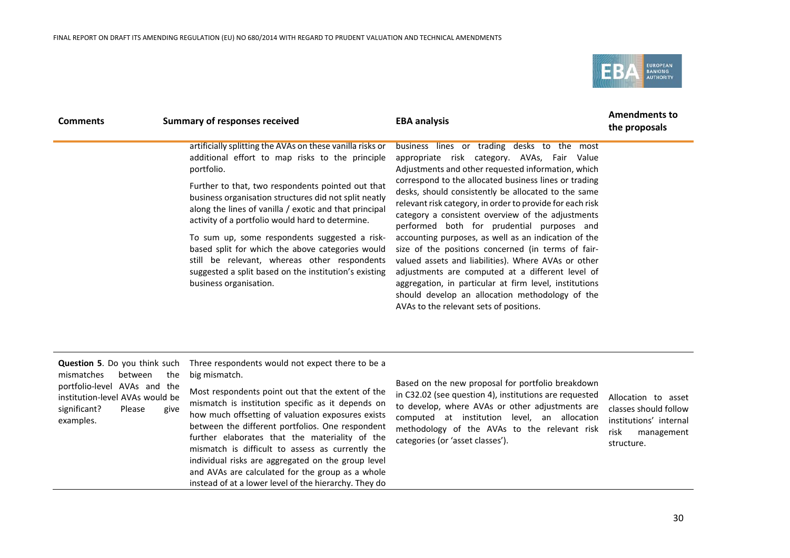and AVAs are calculated for the group as a whole instead of at a lower level of the hierarchy. They do



| <b>Comments</b>                                                                                                                                                         | <b>Summary of responses received</b>                                                                                                                                                                                                                                                                                                                                                                                                                                                                                                                                                           | <b>EBA analysis</b>                                                                                                                                                                                                                                                                                                                                                                                                                                                                                                                                                                                                                                                                                                                                                                                               | <b>Amendments to</b><br>the proposals                                                                      |
|-------------------------------------------------------------------------------------------------------------------------------------------------------------------------|------------------------------------------------------------------------------------------------------------------------------------------------------------------------------------------------------------------------------------------------------------------------------------------------------------------------------------------------------------------------------------------------------------------------------------------------------------------------------------------------------------------------------------------------------------------------------------------------|-------------------------------------------------------------------------------------------------------------------------------------------------------------------------------------------------------------------------------------------------------------------------------------------------------------------------------------------------------------------------------------------------------------------------------------------------------------------------------------------------------------------------------------------------------------------------------------------------------------------------------------------------------------------------------------------------------------------------------------------------------------------------------------------------------------------|------------------------------------------------------------------------------------------------------------|
|                                                                                                                                                                         | artificially splitting the AVAs on these vanilla risks or<br>additional effort to map risks to the principle<br>portfolio.<br>Further to that, two respondents pointed out that<br>business organisation structures did not split neatly<br>along the lines of vanilla / exotic and that principal<br>activity of a portfolio would hard to determine.<br>To sum up, some respondents suggested a risk-<br>based split for which the above categories would<br>still be relevant, whereas other respondents<br>suggested a split based on the institution's existing<br>business organisation. | business lines or trading desks to the most<br>appropriate risk category. AVAs, Fair Value<br>Adjustments and other requested information, which<br>correspond to the allocated business lines or trading<br>desks, should consistently be allocated to the same<br>relevant risk category, in order to provide for each risk<br>category a consistent overview of the adjustments<br>performed both for prudential purposes and<br>accounting purposes, as well as an indication of the<br>size of the positions concerned (in terms of fair-<br>valued assets and liabilities). Where AVAs or other<br>adjustments are computed at a different level of<br>aggregation, in particular at firm level, institutions<br>should develop an allocation methodology of the<br>AVAs to the relevant sets of positions. |                                                                                                            |
| <b>Question 5.</b> Do you think such<br>mismatches<br>between<br>portfolio-level AVAs and the<br>institution-level AVAs would be<br>significant?<br>Please<br>examples. | Three respondents would not expect there to be a<br>big mismatch.<br>the<br>Most respondents point out that the extent of the<br>mismatch is institution specific as it depends on<br>give<br>how much offsetting of valuation exposures exists<br>between the different portfolios. One respondent<br>further elaborates that the materiality of the<br>mismatch is difficult to assess as currently the<br>individual risks are aggregated on the group level                                                                                                                                | Based on the new proposal for portfolio breakdown<br>in C32.02 (see question 4), institutions are requested<br>to develop, where AVAs or other adjustments are<br>computed at institution level, an allocation<br>methodology of the AVAs to the relevant risk<br>categories (or 'asset classes').                                                                                                                                                                                                                                                                                                                                                                                                                                                                                                                | Allocation to asset<br>classes should follow<br>institutions' internal<br>risk<br>management<br>structure. |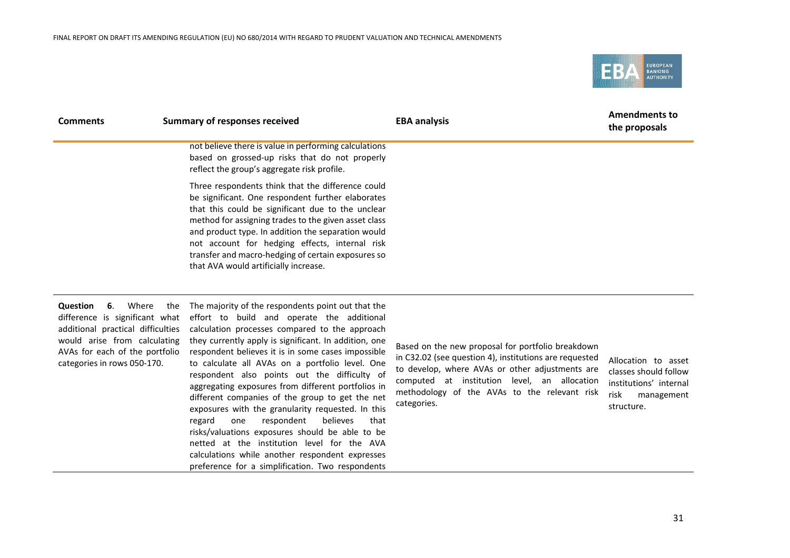

| <b>Comments</b>                                                                                                                                                                                        | <b>Summary of responses received</b>                                                                                                                                                                                                                                                                                                                                                                                                                                                                                                                                                                                                                                                                                                                                                           | <b>EBA analysis</b>                                                                                                                                                                                                                                                           | <b>Amendments to</b><br>the proposals                                                                      |
|--------------------------------------------------------------------------------------------------------------------------------------------------------------------------------------------------------|------------------------------------------------------------------------------------------------------------------------------------------------------------------------------------------------------------------------------------------------------------------------------------------------------------------------------------------------------------------------------------------------------------------------------------------------------------------------------------------------------------------------------------------------------------------------------------------------------------------------------------------------------------------------------------------------------------------------------------------------------------------------------------------------|-------------------------------------------------------------------------------------------------------------------------------------------------------------------------------------------------------------------------------------------------------------------------------|------------------------------------------------------------------------------------------------------------|
|                                                                                                                                                                                                        | not believe there is value in performing calculations<br>based on grossed-up risks that do not properly<br>reflect the group's aggregate risk profile.                                                                                                                                                                                                                                                                                                                                                                                                                                                                                                                                                                                                                                         |                                                                                                                                                                                                                                                                               |                                                                                                            |
|                                                                                                                                                                                                        | Three respondents think that the difference could<br>be significant. One respondent further elaborates<br>that this could be significant due to the unclear<br>method for assigning trades to the given asset class<br>and product type. In addition the separation would<br>not account for hedging effects, internal risk<br>transfer and macro-hedging of certain exposures so<br>that AVA would artificially increase.                                                                                                                                                                                                                                                                                                                                                                     |                                                                                                                                                                                                                                                                               |                                                                                                            |
| Where<br>Question<br>6.<br>the<br>difference is significant what<br>additional practical difficulties<br>would arise from calculating<br>AVAs for each of the portfolio<br>categories in rows 050-170. | The majority of the respondents point out that the<br>effort to build and operate the additional<br>calculation processes compared to the approach<br>they currently apply is significant. In addition, one<br>respondent believes it is in some cases impossible<br>to calculate all AVAs on a portfolio level. One<br>respondent also points out the difficulty of<br>aggregating exposures from different portfolios in<br>different companies of the group to get the net<br>exposures with the granularity requested. In this<br>believes<br>respondent<br>regard<br>one<br>that<br>risks/valuations exposures should be able to be<br>netted at the institution level for the AVA<br>calculations while another respondent expresses<br>preference for a simplification. Two respondents | Based on the new proposal for portfolio breakdown<br>in C32.02 (see question 4), institutions are requested<br>to develop, where AVAs or other adjustments are<br>computed at institution level, an allocation<br>methodology of the AVAs to the relevant risk<br>categories. | Allocation to asset<br>classes should follow<br>institutions' internal<br>risk<br>management<br>structure. |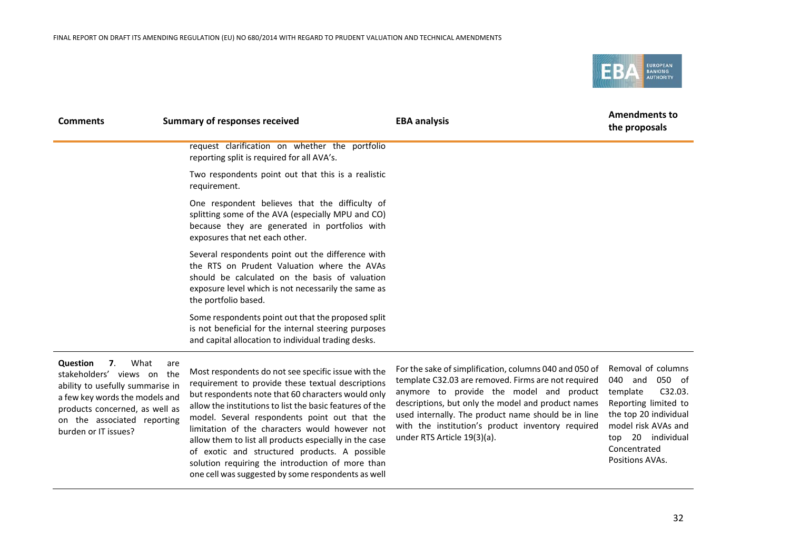

| <b>Comments</b>                                               | <b>Summary of responses received</b>                                                                                                                                                                                              | <b>EBA analysis</b> | <b>Amendments to</b><br>the proposals                                     |
|---------------------------------------------------------------|-----------------------------------------------------------------------------------------------------------------------------------------------------------------------------------------------------------------------------------|---------------------|---------------------------------------------------------------------------|
|                                                               | request clarification on whether the portfolio<br>reporting split is required for all AVA's.                                                                                                                                      |                     |                                                                           |
|                                                               | Two respondents point out that this is a realistic<br>requirement.                                                                                                                                                                |                     |                                                                           |
|                                                               | One respondent believes that the difficulty of<br>splitting some of the AVA (especially MPU and CO)<br>because they are generated in portfolios with<br>exposures that net each other.                                            |                     |                                                                           |
|                                                               | Several respondents point out the difference with<br>the RTS on Prudent Valuation where the AVAs<br>should be calculated on the basis of valuation<br>exposure level which is not necessarily the same as<br>the portfolio based. |                     |                                                                           |
|                                                               | Some respondents point out that the proposed split<br>is not beneficial for the internal steering purposes<br>and capital allocation to individual trading desks.                                                                 |                     |                                                                           |
| <b>Question</b><br>$\mathbf{z}$<br>stakoholdore' views on the | What<br>are<br>Most respondents do not see specific issue with the                                                                                                                                                                |                     | For the sake of simplification, columns 040 and 050 of Removal of columns |

stakeholders' views on the ability to usefully summarise in a few key words the models and products concerned, as well as on the associated reporting burden or IT issues?

Most respondents do not see specific issue with the requirement to provide these textual descriptions but respondents note that 60 characters would only allow the institutions to list the basic features of the model. Several respondents point out that the limitation of the characters would however not allow them to list all products especially in the case of exotic and structured products. A possible solution requiring the introduction of more than one cell was suggested by some respondents as well

For the sake of simplification, columns 040 and 050 of template C32.03 are removed. Firms are not required anymore to provide the model and product descriptions, but only the model and product names used internally. The product name should be in line with the institution's product inventory required under RTS Article 19(3)(a).

040 and 050 of template C32.03. Reporting limited to the top 20 individual model risk AVAs and top 20 individual Concentrated Positions AVAs.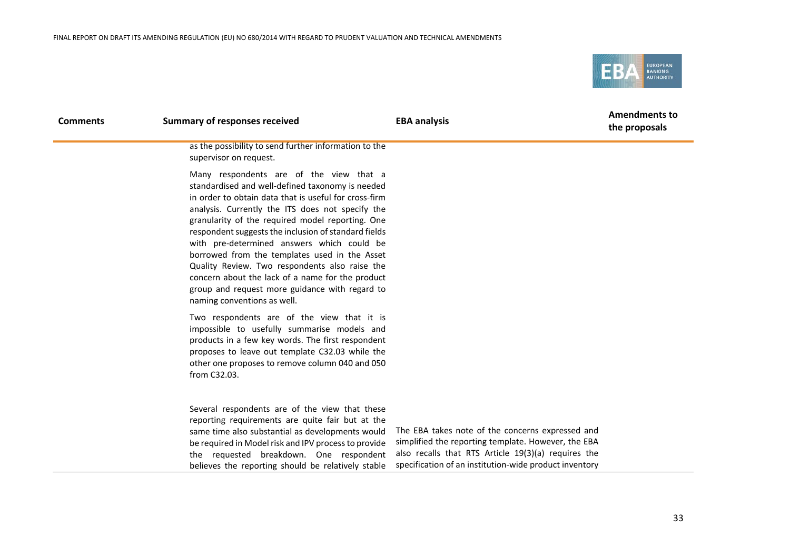

| <b>Comments</b> | <b>Summary of responses received</b>                                                                                                                                                                                                                                                                                                                                                                                                                                                                                                                                                                       | <b>EBA analysis</b>                                                                                                                                                                                                      | <b>Amendments to</b><br>the proposals |
|-----------------|------------------------------------------------------------------------------------------------------------------------------------------------------------------------------------------------------------------------------------------------------------------------------------------------------------------------------------------------------------------------------------------------------------------------------------------------------------------------------------------------------------------------------------------------------------------------------------------------------------|--------------------------------------------------------------------------------------------------------------------------------------------------------------------------------------------------------------------------|---------------------------------------|
|                 | as the possibility to send further information to the<br>supervisor on request.                                                                                                                                                                                                                                                                                                                                                                                                                                                                                                                            |                                                                                                                                                                                                                          |                                       |
|                 | Many respondents are of the view that a<br>standardised and well-defined taxonomy is needed<br>in order to obtain data that is useful for cross-firm<br>analysis. Currently the ITS does not specify the<br>granularity of the required model reporting. One<br>respondent suggests the inclusion of standard fields<br>with pre-determined answers which could be<br>borrowed from the templates used in the Asset<br>Quality Review. Two respondents also raise the<br>concern about the lack of a name for the product<br>group and request more guidance with regard to<br>naming conventions as well. |                                                                                                                                                                                                                          |                                       |
|                 | Two respondents are of the view that it is<br>impossible to usefully summarise models and<br>products in a few key words. The first respondent<br>proposes to leave out template C32.03 while the<br>other one proposes to remove column 040 and 050<br>from C32.03.                                                                                                                                                                                                                                                                                                                                       |                                                                                                                                                                                                                          |                                       |
|                 | Several respondents are of the view that these<br>reporting requirements are quite fair but at the<br>same time also substantial as developments would<br>be required in Model risk and IPV process to provide<br>the requested breakdown. One respondent<br>believes the reporting should be relatively stable                                                                                                                                                                                                                                                                                            | The EBA takes note of the concerns expressed and<br>simplified the reporting template. However, the EBA<br>also recalls that RTS Article 19(3)(a) requires the<br>specification of an institution-wide product inventory |                                       |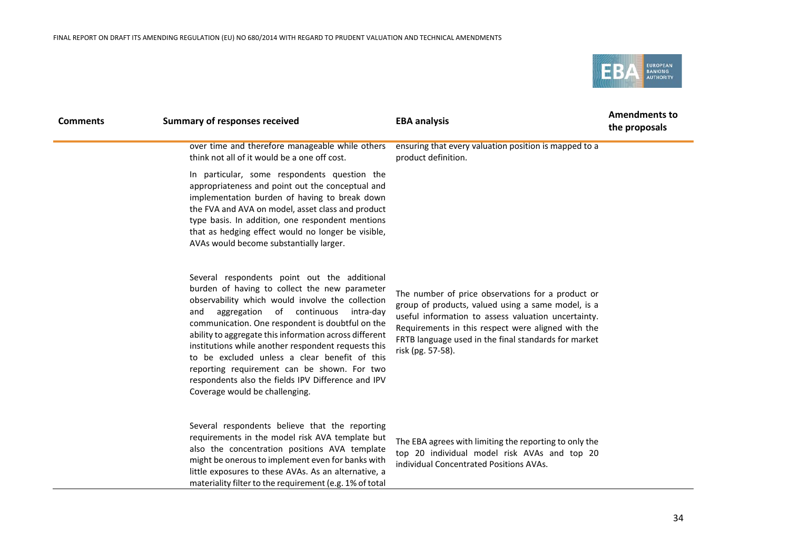

| <b>Comments</b>                                                                                                                                                                                                                                                                                                                                                                                                                                                                                                                                                                         | <b>Summary of responses received</b>                                                                                                                                                                                                                                                                                                                        | <b>EBA analysis</b>                                                                                                                               | <b>Amendments to</b><br>the proposals |
|-----------------------------------------------------------------------------------------------------------------------------------------------------------------------------------------------------------------------------------------------------------------------------------------------------------------------------------------------------------------------------------------------------------------------------------------------------------------------------------------------------------------------------------------------------------------------------------------|-------------------------------------------------------------------------------------------------------------------------------------------------------------------------------------------------------------------------------------------------------------------------------------------------------------------------------------------------------------|---------------------------------------------------------------------------------------------------------------------------------------------------|---------------------------------------|
|                                                                                                                                                                                                                                                                                                                                                                                                                                                                                                                                                                                         | over time and therefore manageable while others<br>think not all of it would be a one off cost.                                                                                                                                                                                                                                                             | ensuring that every valuation position is mapped to a<br>product definition.                                                                      |                                       |
|                                                                                                                                                                                                                                                                                                                                                                                                                                                                                                                                                                                         | In particular, some respondents question the<br>appropriateness and point out the conceptual and<br>implementation burden of having to break down<br>the FVA and AVA on model, asset class and product<br>type basis. In addition, one respondent mentions<br>that as hedging effect would no longer be visible,<br>AVAs would become substantially larger. |                                                                                                                                                   |                                       |
| Several respondents point out the additional<br>burden of having to collect the new parameter<br>observability which would involve the collection<br>aggregation<br>of continuous<br>and<br>intra-day<br>communication. One respondent is doubtful on the<br>ability to aggregate this information across different<br>institutions while another respondent requests this<br>risk (pg. 57-58).<br>to be excluded unless a clear benefit of this<br>reporting requirement can be shown. For two<br>respondents also the fields IPV Difference and IPV<br>Coverage would be challenging. | The number of price observations for a product or<br>group of products, valued using a same model, is a<br>useful information to assess valuation uncertainty.<br>Requirements in this respect were aligned with the<br>FRTB language used in the final standards for market                                                                                |                                                                                                                                                   |                                       |
|                                                                                                                                                                                                                                                                                                                                                                                                                                                                                                                                                                                         | Several respondents believe that the reporting<br>requirements in the model risk AVA template but<br>also the concentration positions AVA template<br>might be onerous to implement even for banks with<br>little exposures to these AVAs. As an alternative, a<br>materiality filter to the requirement (e.g. 1% of total                                  | The EBA agrees with limiting the reporting to only the<br>top 20 individual model risk AVAs and top 20<br>individual Concentrated Positions AVAs. |                                       |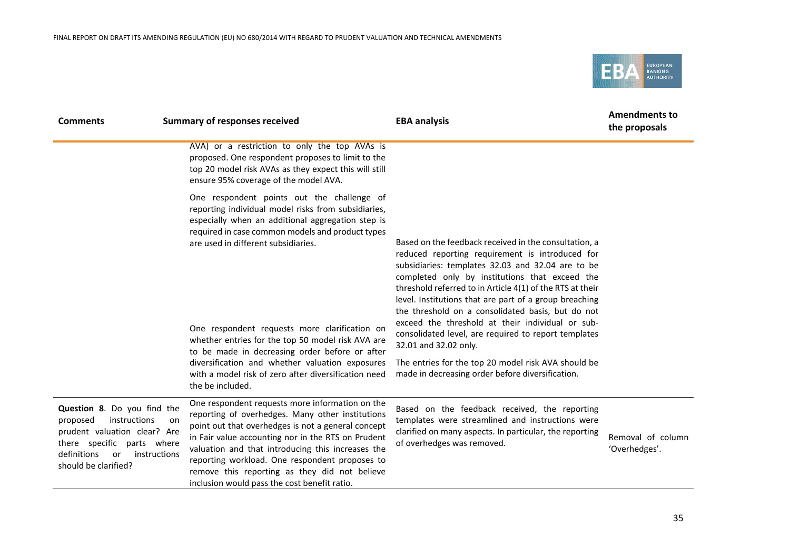

| <b>Comments</b>                                                                                                                                                                    | <b>Summary of responses received</b>                                                                                                                                                                                                                                                                                                                                                                                                                                                                                                     | <b>EBA analysis</b>                                                                                                                                                                                                                                                                                                                                                                                                                                                                                                                                                                                                                         | <b>Amendments to</b><br>the proposals |
|------------------------------------------------------------------------------------------------------------------------------------------------------------------------------------|------------------------------------------------------------------------------------------------------------------------------------------------------------------------------------------------------------------------------------------------------------------------------------------------------------------------------------------------------------------------------------------------------------------------------------------------------------------------------------------------------------------------------------------|---------------------------------------------------------------------------------------------------------------------------------------------------------------------------------------------------------------------------------------------------------------------------------------------------------------------------------------------------------------------------------------------------------------------------------------------------------------------------------------------------------------------------------------------------------------------------------------------------------------------------------------------|---------------------------------------|
|                                                                                                                                                                                    | AVA) or a restriction to only the top AVAs is<br>proposed. One respondent proposes to limit to the<br>top 20 model risk AVAs as they expect this will still<br>ensure 95% coverage of the model AVA.                                                                                                                                                                                                                                                                                                                                     |                                                                                                                                                                                                                                                                                                                                                                                                                                                                                                                                                                                                                                             |                                       |
|                                                                                                                                                                                    | One respondent points out the challenge of<br>reporting individual model risks from subsidiaries,<br>especially when an additional aggregation step is<br>required in case common models and product types<br>are used in different subsidiaries.<br>One respondent requests more clarification on<br>whether entries for the top 50 model risk AVA are<br>to be made in decreasing order before or after<br>diversification and whether valuation exposures<br>with a model risk of zero after diversification need<br>the be included. | Based on the feedback received in the consultation, a<br>reduced reporting requirement is introduced for<br>subsidiaries: templates 32.03 and 32.04 are to be<br>completed only by institutions that exceed the<br>threshold referred to in Article 4(1) of the RTS at their<br>level. Institutions that are part of a group breaching<br>the threshold on a consolidated basis, but do not<br>exceed the threshold at their individual or sub-<br>consolidated level, are required to report templates<br>32.01 and 32.02 only.<br>The entries for the top 20 model risk AVA should be<br>made in decreasing order before diversification. |                                       |
| Question 8. Do you find the<br>instructions<br>proposed<br>prudent valuation clear? Are<br>there specific parts where<br>definitions<br>instructions<br>or<br>should be clarified? | One respondent requests more information on the<br>reporting of overhedges. Many other institutions<br>on<br>point out that overhedges is not a general concept<br>in Fair value accounting nor in the RTS on Prudent<br>valuation and that introducing this increases the<br>reporting workload. One respondent proposes to<br>remove this reporting as they did not believe<br>inclusion would pass the cost benefit ratio.                                                                                                            | Based on the feedback received, the reporting<br>templates were streamlined and instructions were<br>clarified on many aspects. In particular, the reporting<br>of overhedges was removed.                                                                                                                                                                                                                                                                                                                                                                                                                                                  | Removal of column<br>'Overhedges'.    |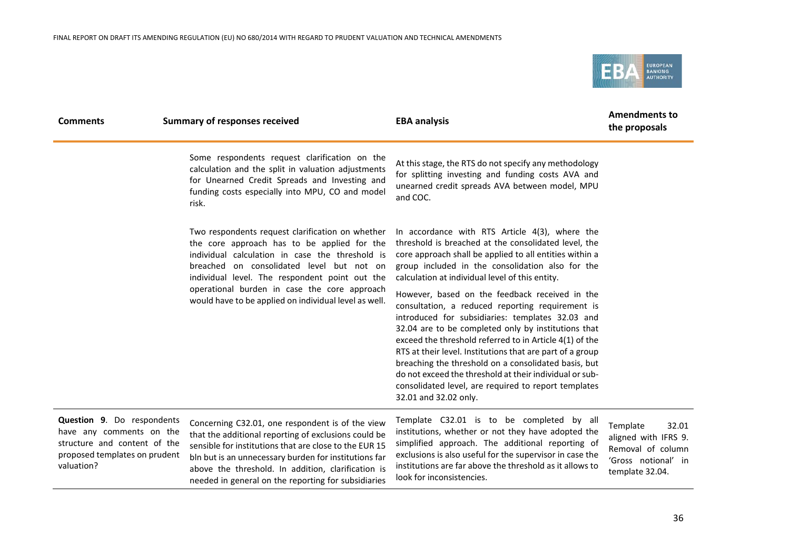needed in general on the reporting for subsidiaries



| <b>Comments</b>                                                                                                                              | <b>Summary of responses received</b>                                                                                                                                                                                                                                              | <b>EBA analysis</b>                                                                                                                                                                                                                                                                                                                                                                                                                                                                                                                       | <b>Amendments to</b><br>the proposals                                                                    |
|----------------------------------------------------------------------------------------------------------------------------------------------|-----------------------------------------------------------------------------------------------------------------------------------------------------------------------------------------------------------------------------------------------------------------------------------|-------------------------------------------------------------------------------------------------------------------------------------------------------------------------------------------------------------------------------------------------------------------------------------------------------------------------------------------------------------------------------------------------------------------------------------------------------------------------------------------------------------------------------------------|----------------------------------------------------------------------------------------------------------|
|                                                                                                                                              | Some respondents request clarification on the<br>calculation and the split in valuation adjustments<br>for Unearned Credit Spreads and Investing and<br>funding costs especially into MPU, CO and model<br>risk.                                                                  | At this stage, the RTS do not specify any methodology<br>for splitting investing and funding costs AVA and<br>unearned credit spreads AVA between model, MPU<br>and COC.                                                                                                                                                                                                                                                                                                                                                                  |                                                                                                          |
|                                                                                                                                              | Two respondents request clarification on whether<br>the core approach has to be applied for the<br>individual calculation in case the threshold is<br>breached on consolidated level but not on<br>individual level. The respondent point out the                                 | In accordance with RTS Article 4(3), where the<br>threshold is breached at the consolidated level, the<br>core approach shall be applied to all entities within a<br>group included in the consolidation also for the<br>calculation at individual level of this entity.                                                                                                                                                                                                                                                                  |                                                                                                          |
|                                                                                                                                              | operational burden in case the core approach<br>would have to be applied on individual level as well.                                                                                                                                                                             | However, based on the feedback received in the<br>consultation, a reduced reporting requirement is<br>introduced for subsidiaries: templates 32.03 and<br>32.04 are to be completed only by institutions that<br>exceed the threshold referred to in Article 4(1) of the<br>RTS at their level. Institutions that are part of a group<br>breaching the threshold on a consolidated basis, but<br>do not exceed the threshold at their individual or sub-<br>consolidated level, are required to report templates<br>32.01 and 32.02 only. |                                                                                                          |
| <b>Question 9.</b> Do respondents<br>have any comments on the<br>structure and content of the<br>proposed templates on prudent<br>valuation? | Concerning C32.01, one respondent is of the view<br>that the additional reporting of exclusions could be<br>sensible for institutions that are close to the EUR 15<br>bln but is an unnecessary burden for institutions far<br>above the threshold. In addition, clarification is | Template C32.01 is to be completed by all<br>institutions, whether or not they have adopted the<br>simplified approach. The additional reporting of<br>exclusions is also useful for the supervisor in case the<br>institutions are far above the threshold as it allows to                                                                                                                                                                                                                                                               | Template<br>32.01<br>aligned with IFRS 9.<br>Removal of column<br>'Gross notional' in<br>template 32.04. |

look for inconsistencies.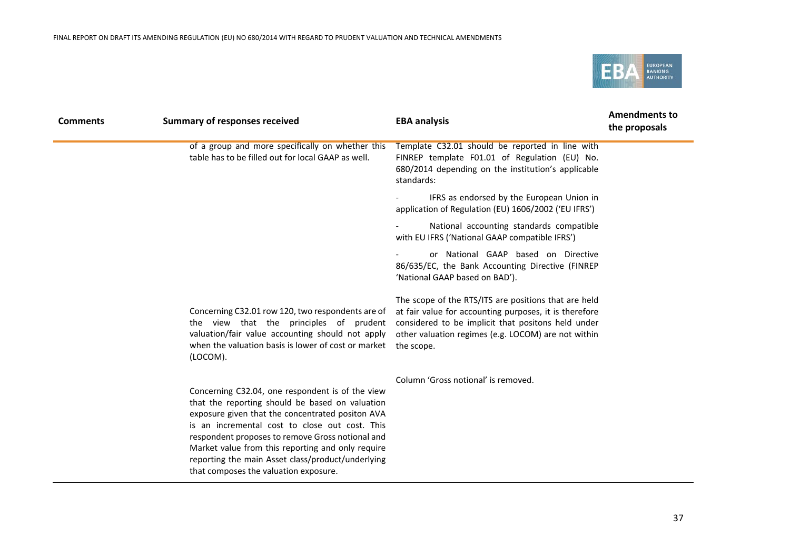

| <b>Comments</b> | <b>Summary of responses received</b>                                                                                                                                                                                                                                                                                                                                                                             | <b>EBA analysis</b>                                                                                                                                                                                                                       | <b>Amendments to</b><br>the proposals |
|-----------------|------------------------------------------------------------------------------------------------------------------------------------------------------------------------------------------------------------------------------------------------------------------------------------------------------------------------------------------------------------------------------------------------------------------|-------------------------------------------------------------------------------------------------------------------------------------------------------------------------------------------------------------------------------------------|---------------------------------------|
|                 | of a group and more specifically on whether this<br>table has to be filled out for local GAAP as well.                                                                                                                                                                                                                                                                                                           | Template C32.01 should be reported in line with<br>FINREP template F01.01 of Regulation (EU) No.<br>680/2014 depending on the institution's applicable<br>standards:                                                                      |                                       |
|                 |                                                                                                                                                                                                                                                                                                                                                                                                                  | IFRS as endorsed by the European Union in<br>application of Regulation (EU) 1606/2002 ('EU IFRS')                                                                                                                                         |                                       |
|                 |                                                                                                                                                                                                                                                                                                                                                                                                                  | National accounting standards compatible<br>with EU IFRS ('National GAAP compatible IFRS')                                                                                                                                                |                                       |
|                 |                                                                                                                                                                                                                                                                                                                                                                                                                  | or National GAAP based on Directive<br>86/635/EC, the Bank Accounting Directive (FINREP<br>'National GAAP based on BAD').                                                                                                                 |                                       |
|                 | Concerning C32.01 row 120, two respondents are of<br>the view that the principles of prudent<br>valuation/fair value accounting should not apply<br>when the valuation basis is lower of cost or market<br>(LOCOM).                                                                                                                                                                                              | The scope of the RTS/ITS are positions that are held<br>at fair value for accounting purposes, it is therefore<br>considered to be implicit that positons held under<br>other valuation regimes (e.g. LOCOM) are not within<br>the scope. |                                       |
|                 | Concerning C32.04, one respondent is of the view<br>that the reporting should be based on valuation<br>exposure given that the concentrated positon AVA<br>is an incremental cost to close out cost. This<br>respondent proposes to remove Gross notional and<br>Market value from this reporting and only require<br>reporting the main Asset class/product/underlying<br>that composes the valuation exposure. | Column 'Gross notional' is removed.                                                                                                                                                                                                       |                                       |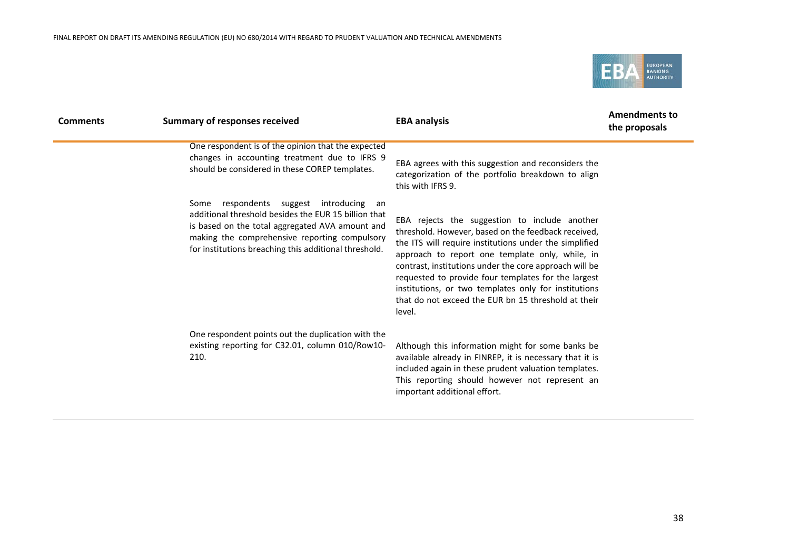

| <b>Comments</b> | <b>Summary of responses received</b>                                                                                                                                                                                                                            | <b>EBA analysis</b>                                                                                                                                                                                                                                                                                                                                                                                                                                         | <b>Amendments to</b><br>the proposals |
|-----------------|-----------------------------------------------------------------------------------------------------------------------------------------------------------------------------------------------------------------------------------------------------------------|-------------------------------------------------------------------------------------------------------------------------------------------------------------------------------------------------------------------------------------------------------------------------------------------------------------------------------------------------------------------------------------------------------------------------------------------------------------|---------------------------------------|
|                 | One respondent is of the opinion that the expected<br>changes in accounting treatment due to IFRS 9<br>should be considered in these COREP templates.                                                                                                           | EBA agrees with this suggestion and reconsiders the<br>categorization of the portfolio breakdown to align<br>this with IFRS 9.                                                                                                                                                                                                                                                                                                                              |                                       |
|                 | respondents suggest introducing an<br>Some<br>additional threshold besides the EUR 15 billion that<br>is based on the total aggregated AVA amount and<br>making the comprehensive reporting compulsory<br>for institutions breaching this additional threshold. | EBA rejects the suggestion to include another<br>threshold. However, based on the feedback received,<br>the ITS will require institutions under the simplified<br>approach to report one template only, while, in<br>contrast, institutions under the core approach will be<br>requested to provide four templates for the largest<br>institutions, or two templates only for institutions<br>that do not exceed the EUR bn 15 threshold at their<br>level. |                                       |
|                 | One respondent points out the duplication with the<br>existing reporting for C32.01, column 010/Row10-<br>210.                                                                                                                                                  | Although this information might for some banks be<br>available already in FINREP, it is necessary that it is<br>included again in these prudent valuation templates.<br>This reporting should however not represent an<br>important additional effort.                                                                                                                                                                                                      |                                       |